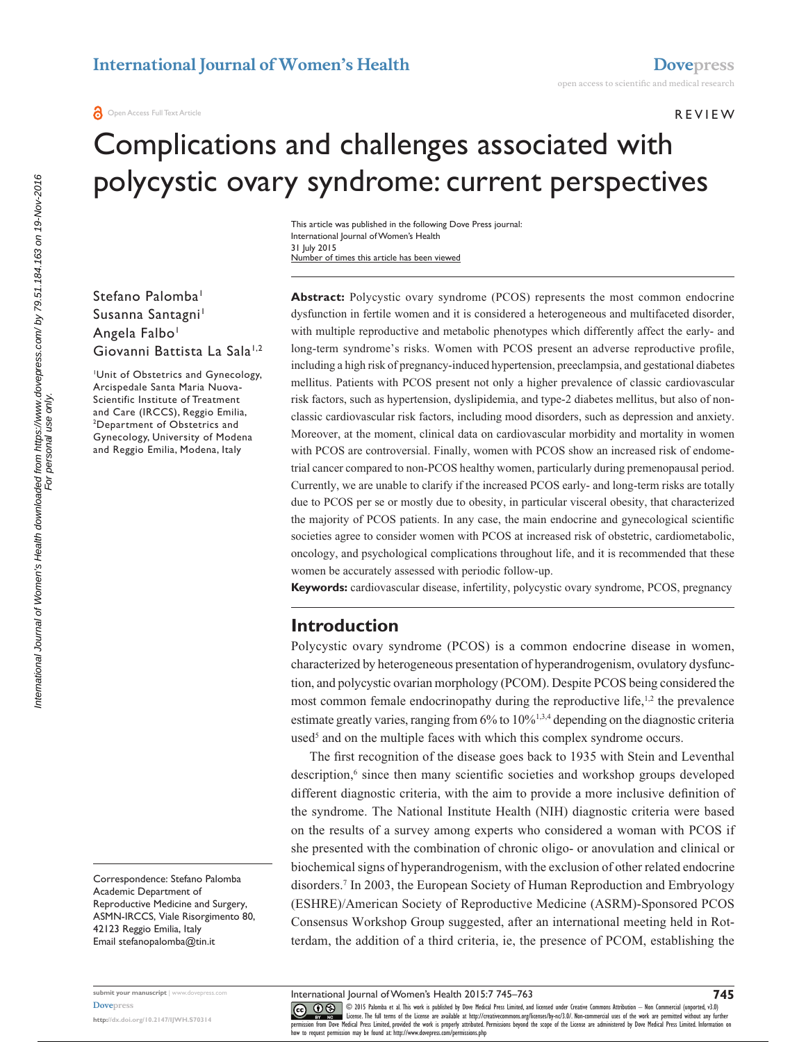#### **REVIEW**

# Complications and challenges associated with polycystic ovary syndrome: current perspectives

Number of times this article has been viewed This article was published in the following Dove Press journal: International Journal of Women's Health 31 July 2015

Stefano Palomba<sup>1</sup> Susanna Santagni<sup>1</sup> Angela Falbo<sup>1</sup> Giovanni Battista La Sala<sup>1,2</sup>

Unit of Obstetrics and Gynecology, Arcispedale Santa Maria Nuova-Scientific Institute of Treatment and Care (IRCCS), Reggio Emilia, Department of Obstetrics and Gynecology, University of Modena and Reggio Emilia, Modena, Italy

Correspondence: Stefano Palomba Academic Department of Reproductive Medicine and Surgery, ASMN-IRCCS, Viale Risorgimento 80, 42123 Reggio Emilia, Italy Email [stefanopalomba@tin.it](mailto:stefanopalomba@tin.it)

**Abstract:** Polycystic ovary syndrome (PCOS) represents the most common endocrine dysfunction in fertile women and it is considered a heterogeneous and multifaceted disorder, with multiple reproductive and metabolic phenotypes which differently affect the early- and long-term syndrome's risks. Women with PCOS present an adverse reproductive profile, including a high risk of pregnancy-induced hypertension, preeclampsia, and gestational diabetes mellitus. Patients with PCOS present not only a higher prevalence of classic cardiovascular risk factors, such as hypertension, dyslipidemia, and type-2 diabetes mellitus, but also of nonclassic cardiovascular risk factors, including mood disorders, such as depression and anxiety. Moreover, at the moment, clinical data on cardiovascular morbidity and mortality in women with PCOS are controversial. Finally, women with PCOS show an increased risk of endometrial cancer compared to non-PCOS healthy women, particularly during premenopausal period. Currently, we are unable to clarify if the increased PCOS early- and long-term risks are totally due to PCOS per se or mostly due to obesity, in particular visceral obesity, that characterized the majority of PCOS patients. In any case, the main endocrine and gynecological scientific societies agree to consider women with PCOS at increased risk of obstetric, cardiometabolic, oncology, and psychological complications throughout life, and it is recommended that these women be accurately assessed with periodic follow-up.

**Keywords:** cardiovascular disease, infertility, polycystic ovary syndrome, PCOS, pregnancy

## **Introduction**

Polycystic ovary syndrome (PCOS) is a common endocrine disease in women, characterized by heterogeneous presentation of hyperandrogenism, ovulatory dysfunction, and polycystic ovarian morphology (PCOM). Despite PCOS being considered the most common female endocrinopathy during the reproductive life,<sup>1,2</sup> the prevalence estimate greatly varies, ranging from 6% to 10%1,3,4 depending on the diagnostic criteria used<sup>5</sup> and on the multiple faces with which this complex syndrome occurs.

The first recognition of the disease goes back to 1935 with Stein and Leventhal description,<sup>6</sup> since then many scientific societies and workshop groups developed different diagnostic criteria, with the aim to provide a more inclusive definition of the syndrome. The National Institute Health (NIH) diagnostic criteria were based on the results of a survey among experts who considered a woman with PCOS if she presented with the combination of chronic oligo- or anovulation and clinical or biochemical signs of hyperandrogenism, with the exclusion of other related endocrine disorders.7 In 2003, the European Society of Human Reproduction and Embryology (ESHRE)/American Society of Reproductive Medicine (ASRM)-Sponsored PCOS Consensus Workshop Group suggested, after an international meeting held in Rotterdam, the addition of a third criteria, ie, the presence of PCOM, establishing the

International Journal of Women's Health downloaded from https://www.dovepress.com/ by 79.51.184.163 on 19-Nov-2016<br>For personal use only International Journal of Women's Health downloaded from https://www.dovepress.com/ by 79.51.184.163 on 19-Nov-2016 For personal use only.

> **submit your manuscript** | <www.dovepress.com> **[Dovepress](www.dovepress.com)**

**<http://dx.doi.org/10.2147/IJWH.S70314>**

CO ODIS Palomba et al. This work is published by Dove Medical Press Limited, and licensed under Creative Commons Attribution - Non Commercial (unported, v3.0)<br> [permission from Dove M](http://www.dovepress.com/permissions.php)edical Press Limited, provided the work how to request permission may be found at: http://www.dovepress.com/permissions.php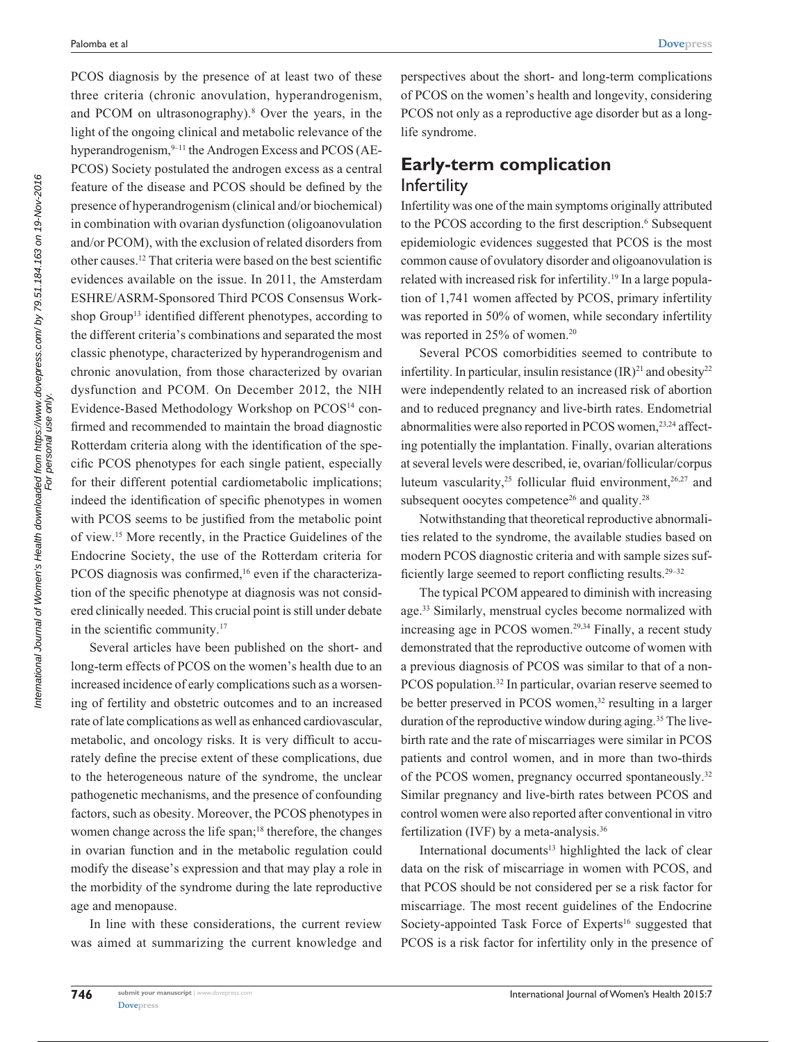PCOS diagnosis by the presence of at least two of these three criteria (chronic anovulation, hyperandrogenism, and PCOM on ultrasonography).8 Over the years, in the light of the ongoing clinical and metabolic relevance of the hyperandrogenism, <sup>9–11</sup> the Androgen Excess and PCOS (AE-PCOS) Society postulated the androgen excess as a central feature of the disease and PCOS should be defined by the presence of hyperandrogenism (clinical and/or biochemical) in combination with ovarian dysfunction (oligoanovulation and/or PCOM), with the exclusion of related disorders from other causes.12 That criteria were based on the best scientific evidences available on the issue. In 2011, the Amsterdam ESHRE/ASRM-Sponsored Third PCOS Consensus Workshop Group<sup>13</sup> identified different phenotypes, according to the different criteria's combinations and separated the most classic phenotype, characterized by hyperandrogenism and chronic anovulation, from those characterized by ovarian dysfunction and PCOM. On December 2012, the NIH Evidence-Based Methodology Workshop on PCOS<sup>14</sup> confirmed and recommended to maintain the broad diagnostic Rotterdam criteria along with the identification of the specific PCOS phenotypes for each single patient, especially for their different potential cardiometabolic implications; indeed the identification of specific phenotypes in women with PCOS seems to be justified from the metabolic point of view.15 More recently, in the Practice Guidelines of the Endocrine Society, the use of the Rotterdam criteria for PCOS diagnosis was confirmed,<sup>16</sup> even if the characterization of the specific phenotype at diagnosis was not considered clinically needed. This crucial point is still under debate in the scientific community.17

Several articles have been published on the short- and long-term effects of PCOS on the women's health due to an increased incidence of early complications such as a worsening of fertility and obstetric outcomes and to an increased rate of late complications as well as enhanced cardiovascular, metabolic, and oncology risks. It is very difficult to accurately define the precise extent of these complications, due to the heterogeneous nature of the syndrome, the unclear pathogenetic mechanisms, and the presence of confounding factors, such as obesity. Moreover, the PCOS phenotypes in women change across the life span;<sup>18</sup> therefore, the changes in ovarian function and in the metabolic regulation could modify the disease's expression and that may play a role in the morbidity of the syndrome during the late reproductive age and menopause.

In line with these considerations, the current review was aimed at summarizing the current knowledge and

perspectives about the short- and long-term complications of PCOS on the women's health and longevity, considering PCOS not only as a reproductive age disorder but as a longlife syndrome.

## **Early-term complication Infertility**

Infertility was one of the main symptoms originally attributed to the PCOS according to the first description.<sup>6</sup> Subsequent epidemiologic evidences suggested that PCOS is the most common cause of ovulatory disorder and oligoanovulation is related with increased risk for infertility.<sup>19</sup> In a large population of 1,741 women affected by PCOS, primary infertility was reported in 50% of women, while secondary infertility was reported in 25% of women.<sup>20</sup>

Several PCOS comorbidities seemed to contribute to infertility. In particular, insulin resistance  $(IR)^{21}$  and obesity<sup>22</sup> were independently related to an increased risk of abortion and to reduced pregnancy and live-birth rates. Endometrial abnormalities were also reported in PCOS women,<sup>23,24</sup> affecting potentially the implantation. Finally, ovarian alterations at several levels were described, ie, ovarian/follicular/corpus luteum vascularity,<sup>25</sup> follicular fluid environment,<sup>26,27</sup> and subsequent oocytes competence<sup>26</sup> and quality.<sup>28</sup>

Notwithstanding that theoretical reproductive abnormalities related to the syndrome, the available studies based on modern PCOS diagnostic criteria and with sample sizes sufficiently large seemed to report conflicting results.29–32

The typical PCOM appeared to diminish with increasing age.33 Similarly, menstrual cycles become normalized with increasing age in PCOS women.29,34 Finally, a recent study demonstrated that the reproductive outcome of women with a previous diagnosis of PCOS was similar to that of a non-PCOS population.<sup>32</sup> In particular, ovarian reserve seemed to be better preserved in PCOS women,<sup>32</sup> resulting in a larger duration of the reproductive window during aging.<sup>35</sup> The livebirth rate and the rate of miscarriages were similar in PCOS patients and control women, and in more than two-thirds of the PCOS women, pregnancy occurred spontaneously.<sup>32</sup> Similar pregnancy and live-birth rates between PCOS and control women were also reported after conventional in vitro fertilization (IVF) by a meta-analysis.36

International documents<sup>13</sup> highlighted the lack of clear data on the risk of miscarriage in women with PCOS, and that PCOS should be not considered per se a risk factor for miscarriage. The most recent guidelines of the Endocrine Society-appointed Task Force of Experts<sup>16</sup> suggested that PCOS is a risk factor for infertility only in the presence of

**746**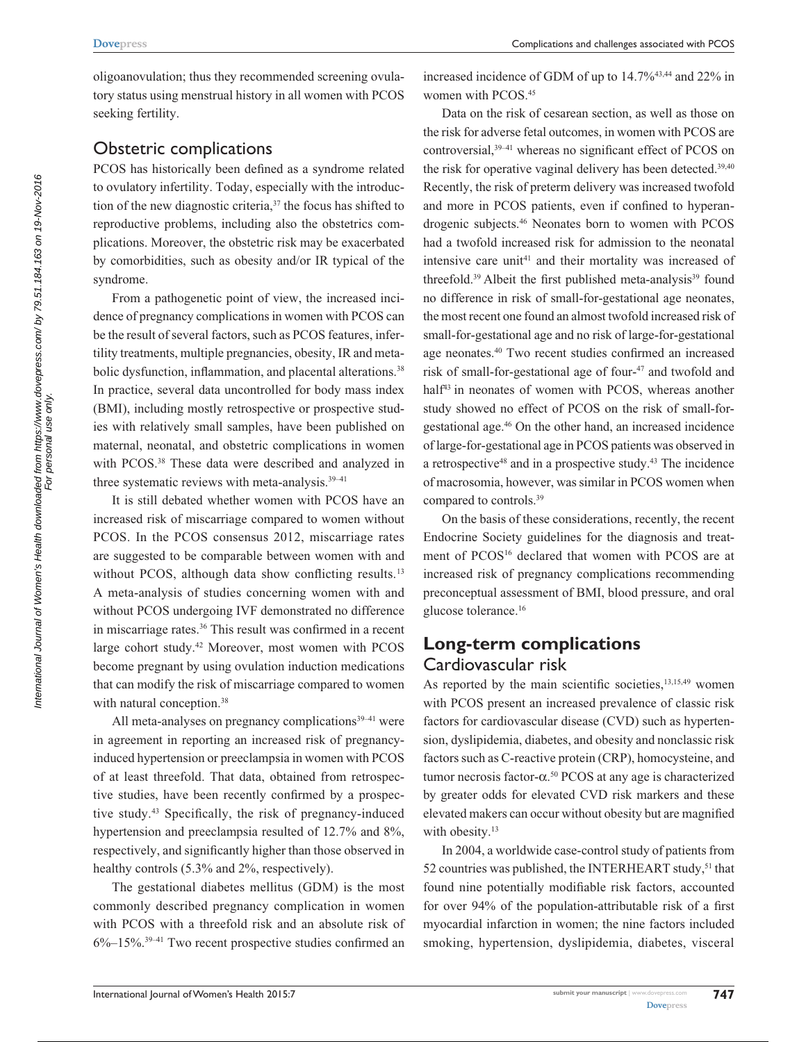oligoanovulation; thus they recommended screening ovulatory status using menstrual history in all women with PCOS seeking fertility.

#### Obstetric complications

PCOS has historically been defined as a syndrome related to ovulatory infertility. Today, especially with the introduction of the new diagnostic criteria, $37$  the focus has shifted to reproductive problems, including also the obstetrics complications. Moreover, the obstetric risk may be exacerbated by comorbidities, such as obesity and/or IR typical of the syndrome.

From a pathogenetic point of view, the increased incidence of pregnancy complications in women with PCOS can be the result of several factors, such as PCOS features, infertility treatments, multiple pregnancies, obesity, IR and metabolic dysfunction, inflammation, and placental alterations.<sup>38</sup> In practice, several data uncontrolled for body mass index (BMI), including mostly retrospective or prospective studies with relatively small samples, have been published on maternal, neonatal, and obstetric complications in women with PCOS.<sup>38</sup> These data were described and analyzed in three systematic reviews with meta-analysis.<sup>39-41</sup>

It is still debated whether women with PCOS have an increased risk of miscarriage compared to women without PCOS. In the PCOS consensus 2012, miscarriage rates are suggested to be comparable between women with and without PCOS, although data show conflicting results.<sup>13</sup> A meta-analysis of studies concerning women with and without PCOS undergoing IVF demonstrated no difference in miscarriage rates.<sup>36</sup> This result was confirmed in a recent large cohort study.42 Moreover, most women with PCOS become pregnant by using ovulation induction medications that can modify the risk of miscarriage compared to women with natural conception.<sup>38</sup>

All meta-analyses on pregnancy complications $39-41$  were in agreement in reporting an increased risk of pregnancyinduced hypertension or preeclampsia in women with PCOS of at least threefold. That data, obtained from retrospective studies, have been recently confirmed by a prospective study.43 Specifically, the risk of pregnancy-induced hypertension and preeclampsia resulted of 12.7% and 8%, respectively, and significantly higher than those observed in healthy controls (5.3% and 2%, respectively).

The gestational diabetes mellitus (GDM) is the most commonly described pregnancy complication in women with PCOS with a threefold risk and an absolute risk of  $6\%$ –15%.<sup>39–41</sup> Two recent prospective studies confirmed an

increased incidence of GDM of up to 14.7%43,44 and 22% in women with PCOS.<sup>45</sup>

Data on the risk of cesarean section, as well as those on the risk for adverse fetal outcomes, in women with PCOS are controversial,<sup>39-41</sup> whereas no significant effect of PCOS on the risk for operative vaginal delivery has been detected.<sup>39,40</sup> Recently, the risk of preterm delivery was increased twofold and more in PCOS patients, even if confined to hyperandrogenic subjects.46 Neonates born to women with PCOS had a twofold increased risk for admission to the neonatal intensive care unit<sup>41</sup> and their mortality was increased of threefold.<sup>39</sup> Albeit the first published meta-analysis<sup>39</sup> found no difference in risk of small-for-gestational age neonates, the most recent one found an almost twofold increased risk of small-for-gestational age and no risk of large-for-gestational age neonates.40 Two recent studies confirmed an increased risk of small-for-gestational age of four-<sup>47</sup> and twofold and half<sup>43</sup> in neonates of women with PCOS, whereas another study showed no effect of PCOS on the risk of small-forgestational age.46 On the other hand, an increased incidence of large-for-gestational age in PCOS patients was observed in a retrospective $48$  and in a prospective study. $43$  The incidence of macrosomia, however, was similar in PCOS women when compared to controls.39

On the basis of these considerations, recently, the recent Endocrine Society guidelines for the diagnosis and treatment of PCOS<sup>16</sup> declared that women with PCOS are at increased risk of pregnancy complications recommending preconceptual assessment of BMI, blood pressure, and oral glucose tolerance.16

## **Long-term complications** Cardiovascular risk

As reported by the main scientific societies, $13,15,49$  women with PCOS present an increased prevalence of classic risk factors for cardiovascular disease (CVD) such as hypertension, dyslipidemia, diabetes, and obesity and nonclassic risk factors such as C-reactive protein (CRP), homocysteine, and tumor necrosis factor-α. 50 PCOS at any age is characterized by greater odds for elevated CVD risk markers and these elevated makers can occur without obesity but are magnified with obesity.<sup>13</sup>

In 2004, a worldwide case-control study of patients from 52 countries was published, the INTERHEART study,<sup>51</sup> that found nine potentially modifiable risk factors, accounted for over 94% of the population-attributable risk of a first myocardial infarction in women; the nine factors included smoking, hypertension, dyslipidemia, diabetes, visceral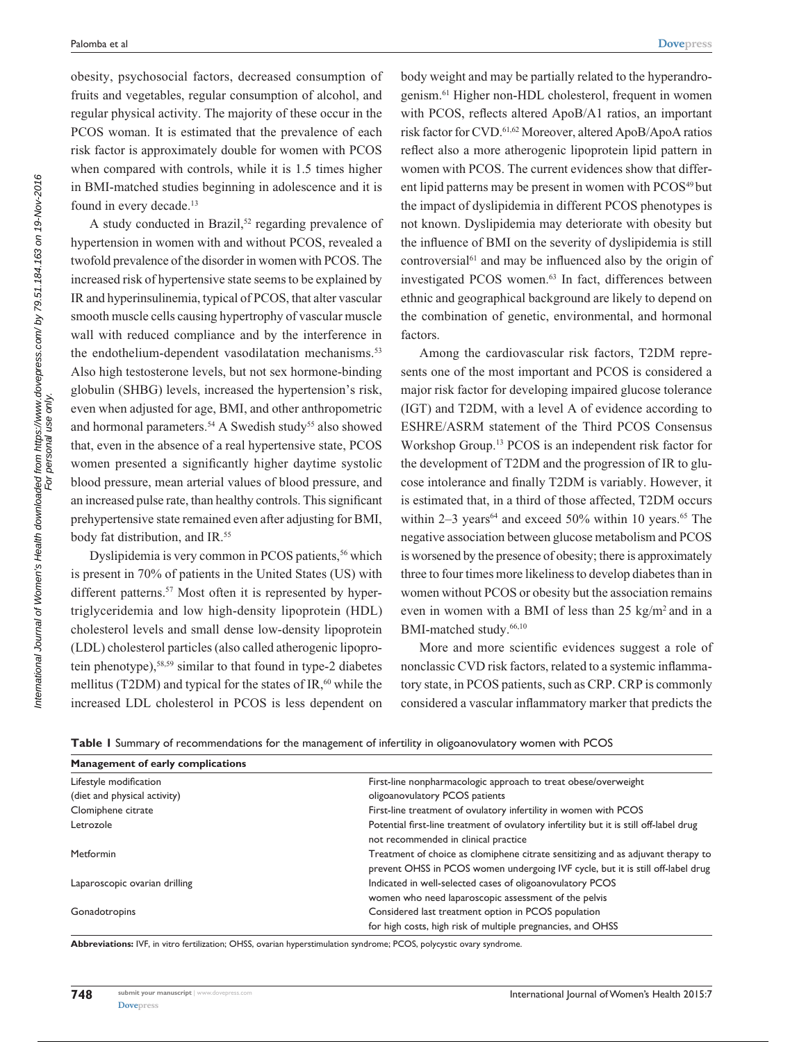obesity, psychosocial factors, decreased consumption of fruits and vegetables, regular consumption of alcohol, and regular physical activity. The majority of these occur in the PCOS woman. It is estimated that the prevalence of each risk factor is approximately double for women with PCOS when compared with controls, while it is 1.5 times higher in BMI-matched studies beginning in adolescence and it is found in every decade.<sup>13</sup>

A study conducted in Brazil,<sup>52</sup> regarding prevalence of hypertension in women with and without PCOS, revealed a twofold prevalence of the disorder in women with PCOS. The increased risk of hypertensive state seems to be explained by IR and hyperinsulinemia, typical of PCOS, that alter vascular smooth muscle cells causing hypertrophy of vascular muscle wall with reduced compliance and by the interference in the endothelium-dependent vasodilatation mechanisms.<sup>53</sup> Also high testosterone levels, but not sex hormone-binding globulin (SHBG) levels, increased the hypertension's risk, even when adjusted for age, BMI, and other anthropometric and hormonal parameters.<sup>54</sup> A Swedish study<sup>55</sup> also showed that, even in the absence of a real hypertensive state, PCOS women presented a significantly higher daytime systolic blood pressure, mean arterial values of blood pressure, and an increased pulse rate, than healthy controls. This significant prehypertensive state remained even after adjusting for BMI, body fat distribution, and IR.<sup>55</sup>

Dyslipidemia is very common in PCOS patients,<sup>56</sup> which is present in 70% of patients in the United States (US) with different patterns.<sup>57</sup> Most often it is represented by hypertriglyceridemia and low high-density lipoprotein (HDL) cholesterol levels and small dense low-density lipoprotein (LDL) cholesterol particles (also called atherogenic lipoprotein phenotype),<sup>58,59</sup> similar to that found in type-2 diabetes mellitus (T2DM) and typical for the states of  $IR<sub>1</sub>$ <sup>60</sup> while the increased LDL cholesterol in PCOS is less dependent on body weight and may be partially related to the hyperandrogenism.61 Higher non-HDL cholesterol, frequent in women with PCOS, reflects altered ApoB/A1 ratios, an important risk factor for CVD.61,62 Moreover, altered ApoB/ApoA ratios reflect also a more atherogenic lipoprotein lipid pattern in women with PCOS. The current evidences show that different lipid patterns may be present in women with PCOS<sup>49</sup> but the impact of dyslipidemia in different PCOS phenotypes is not known. Dyslipidemia may deteriorate with obesity but the influence of BMI on the severity of dyslipidemia is still controversial<sup>61</sup> and may be influenced also by the origin of investigated PCOS women.<sup>63</sup> In fact, differences between ethnic and geographical background are likely to depend on the combination of genetic, environmental, and hormonal factors.

Among the cardiovascular risk factors, T2DM represents one of the most important and PCOS is considered a major risk factor for developing impaired glucose tolerance (IGT) and T2DM, with a level A of evidence according to ESHRE/ASRM statement of the Third PCOS Consensus Workshop Group.13 PCOS is an independent risk factor for the development of T2DM and the progression of IR to glucose intolerance and finally T2DM is variably. However, it is estimated that, in a third of those affected, T2DM occurs within  $2-3$  years<sup>64</sup> and exceed 50% within 10 years.<sup>65</sup> The negative association between glucose metabolism and PCOS is worsened by the presence of obesity; there is approximately three to four times more likeliness to develop diabetes than in women without PCOS or obesity but the association remains even in women with a BMI of less than 25 kg/m2 and in a BMI-matched study.<sup>66,10</sup>

More and more scientific evidences suggest a role of nonclassic CVD risk factors, related to a systemic inflammatory state, in PCOS patients, such as CRP. CRP is commonly considered a vascular inflammatory marker that predicts the

|  |  | Table I Summary of recommendations for the management of infertility in oligoanovulatory women with PCOS |  |  |  |  |  |
|--|--|----------------------------------------------------------------------------------------------------------|--|--|--|--|--|
|--|--|----------------------------------------------------------------------------------------------------------|--|--|--|--|--|

| Management of early complications |                                                                                                                                                                     |
|-----------------------------------|---------------------------------------------------------------------------------------------------------------------------------------------------------------------|
| Lifestyle modification            | First-line nonpharmacologic approach to treat obese/overweight                                                                                                      |
| (diet and physical activity)      | oligoanovulatory PCOS patients                                                                                                                                      |
| Clomiphene citrate                | First-line treatment of ovulatory infertility in women with PCOS                                                                                                    |
| Letrozole                         | Potential first-line treatment of ovulatory infertility but it is still off-label drug<br>not recommended in clinical practice                                      |
| Metformin                         | Treatment of choice as clomiphene citrate sensitizing and as adjuvant therapy to<br>prevent OHSS in PCOS women undergoing IVF cycle, but it is still off-label drug |
| Laparoscopic ovarian drilling     | Indicated in well-selected cases of oligoanovulatory PCOS<br>women who need laparoscopic assessment of the pelvis                                                   |
| Gonadotropins                     | Considered last treatment option in PCOS population                                                                                                                 |
|                                   | for high costs, high risk of multiple pregnancies, and OHSS                                                                                                         |

**Abbreviations:** IVF, in vitro fertilization; OHSS, ovarian hyperstimulation syndrome; PCOS, polycystic ovary syndrome.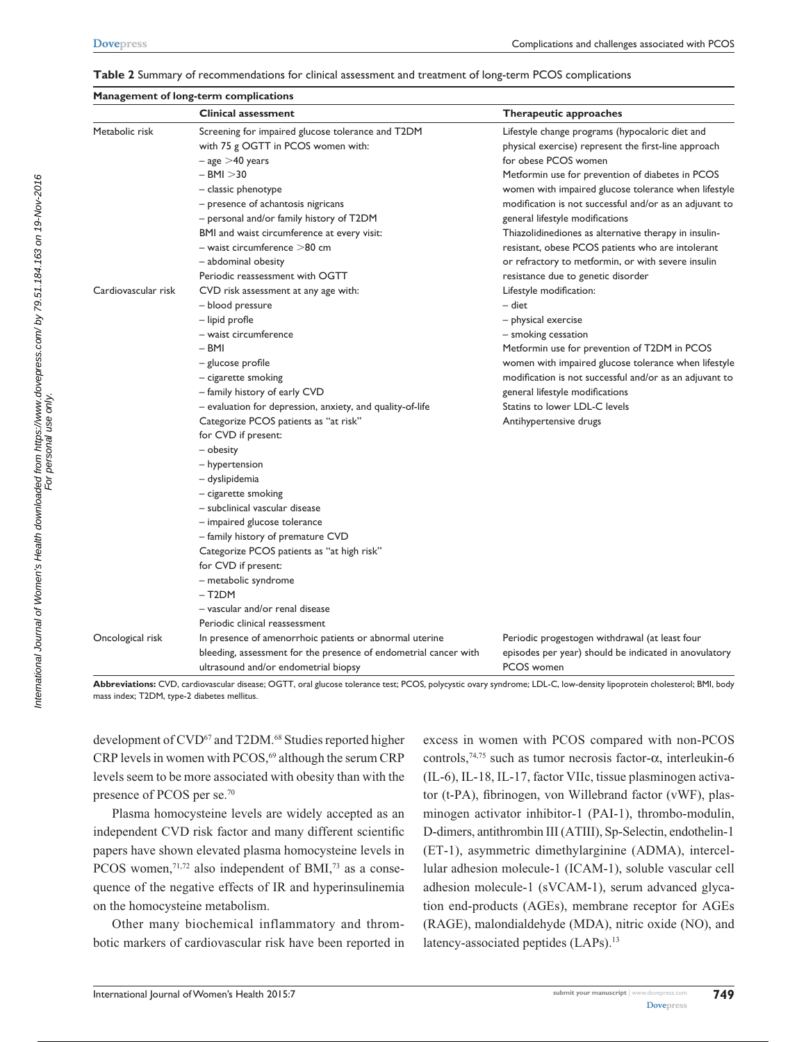**Management of long-term complications**

|  | Table 2 Summary of recommendations for clinical assessment and treatment of long-term PCOS complications |  |  |  |
|--|----------------------------------------------------------------------------------------------------------|--|--|--|
|--|----------------------------------------------------------------------------------------------------------|--|--|--|

|                     | <b>Clinical assessment</b>                                       | Therapeutic approaches                                  |
|---------------------|------------------------------------------------------------------|---------------------------------------------------------|
| Metabolic risk      | Screening for impaired glucose tolerance and T2DM                | Lifestyle change programs (hypocaloric diet and         |
|                     | with 75 g OGTT in PCOS women with:                               | physical exercise) represent the first-line approach    |
|                     | $-$ age $>$ 40 years                                             | for obese PCOS women                                    |
|                     | $-$ BMI $>$ 30                                                   | Metformin use for prevention of diabetes in PCOS        |
|                     | - classic phenotype                                              | women with impaired glucose tolerance when lifestyle    |
|                     | - presence of achantosis nigricans                               | modification is not successful and/or as an adjuvant to |
|                     | - personal and/or family history of T2DM                         | general lifestyle modifications                         |
|                     | BMI and waist circumference at every visit:                      | Thiazolidinediones as alternative therapy in insulin-   |
|                     | $-$ waist circumference $>$ 80 cm                                | resistant, obese PCOS patients who are intolerant       |
|                     | - abdominal obesity                                              | or refractory to metformin, or with severe insulin      |
|                     | Periodic reassessment with OGTT                                  | resistance due to genetic disorder                      |
| Cardiovascular risk | CVD risk assessment at any age with:                             | Lifestyle modification:                                 |
|                     | - blood pressure                                                 | - diet                                                  |
|                     | - lipid profle                                                   | - physical exercise                                     |
|                     | - waist circumference                                            | - smoking cessation                                     |
|                     | – BMI                                                            | Metformin use for prevention of T2DM in PCOS            |
|                     | - glucose profile                                                | women with impaired glucose tolerance when lifestyle    |
|                     | - cigarette smoking                                              | modification is not successful and/or as an adjuvant to |
|                     | - family history of early CVD                                    | general lifestyle modifications                         |
|                     | - evaluation for depression, anxiety, and quality-of-life        | Statins to lower LDL-C levels                           |
|                     | Categorize PCOS patients as "at risk"                            | Antihypertensive drugs                                  |
|                     | for CVD if present:                                              |                                                         |
|                     | - obesity                                                        |                                                         |
|                     | - hypertension                                                   |                                                         |
|                     | - dyslipidemia                                                   |                                                         |
|                     | - cigarette smoking                                              |                                                         |
|                     | - subclinical vascular disease                                   |                                                         |
|                     | - impaired glucose tolerance                                     |                                                         |
|                     | - family history of premature CVD                                |                                                         |
|                     | Categorize PCOS patients as "at high risk"                       |                                                         |
|                     | for CVD if present:                                              |                                                         |
|                     | - metabolic syndrome                                             |                                                         |
|                     | $-$ T <sub>2</sub> DM                                            |                                                         |
|                     | - vascular and/or renal disease                                  |                                                         |
|                     | Periodic clinical reassessment                                   |                                                         |
| Oncological risk    | In presence of amenorrhoic patients or abnormal uterine          | Periodic progestogen withdrawal (at least four          |
|                     | bleeding, assessment for the presence of endometrial cancer with | episodes per year) should be indicated in anovulatory   |
|                     | ultrasound and/or endometrial biopsy                             | PCOS women                                              |

**Abbreviations:** CVD, cardiovascular disease; OGTT, oral glucose tolerance test; PCOS, polycystic ovary syndrome; LDL-C, low-density lipoprotein cholesterol; BMI, body mass index; T2DM, type-2 diabetes mellitus.

development of CVD<sup>67</sup> and T2DM.<sup>68</sup> Studies reported higher CRP levels in women with PCOS,<sup>69</sup> although the serum CRP levels seem to be more associated with obesity than with the presence of PCOS per se.70

Plasma homocysteine levels are widely accepted as an independent CVD risk factor and many different scientific papers have shown elevated plasma homocysteine levels in PCOS women,<sup>71,72</sup> also independent of BMI,<sup>73</sup> as a consequence of the negative effects of IR and hyperinsulinemia on the homocysteine metabolism.

Other many biochemical inflammatory and thrombotic markers of cardiovascular risk have been reported in excess in women with PCOS compared with non-PCOS controls,<sup>74,75</sup> such as tumor necrosis factor- $\alpha$ , interleukin-6 (IL-6), IL-18, IL-17, factor VIIc, tissue plasminogen activator (t-PA), fibrinogen, von Willebrand factor (vWF), plasminogen activator inhibitor-1 (PAI-1), thrombo-modulin, D-dimers, antithrombin III (ATIII), Sp-Selectin, endothelin-1 (ET-1), asymmetric dimethylarginine (ADMA), intercellular adhesion molecule-1 (ICAM-1), soluble vascular cell adhesion molecule-1 (sVCAM-1), serum advanced glycation end-products (AGEs), membrane receptor for AGEs (RAGE), malondialdehyde (MDA), nitric oxide (NO), and latency-associated peptides (LAPs).<sup>13</sup>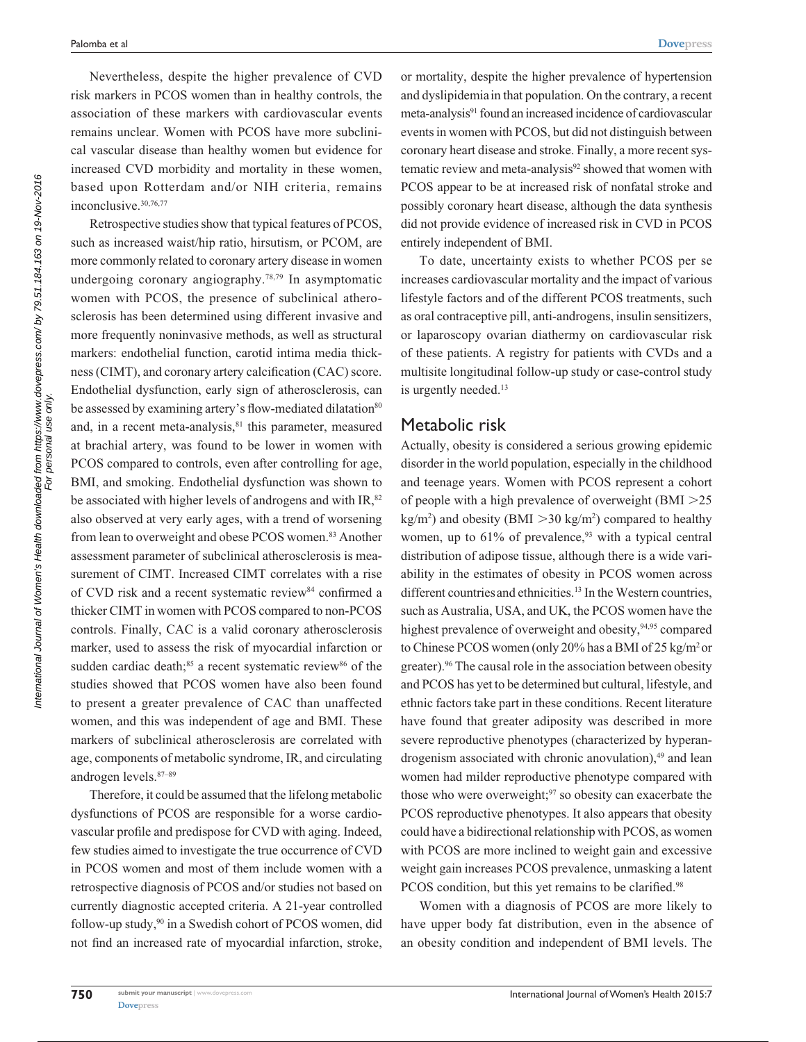Nevertheless, despite the higher prevalence of CVD risk markers in PCOS women than in healthy controls, the association of these markers with cardiovascular events remains unclear. Women with PCOS have more subclinical vascular disease than healthy women but evidence for increased CVD morbidity and mortality in these women, based upon Rotterdam and/or NIH criteria, remains inconclusive.30,76,77

Retrospective studies show that typical features of PCOS, such as increased waist/hip ratio, hirsutism, or PCOM, are more commonly related to coronary artery disease in women undergoing coronary angiography.78,79 In asymptomatic women with PCOS, the presence of subclinical atherosclerosis has been determined using different invasive and more frequently noninvasive methods, as well as structural markers: endothelial function, carotid intima media thickness (CIMT), and coronary artery calcification (CAC) score. Endothelial dysfunction, early sign of atherosclerosis, can be assessed by examining artery's flow-mediated dilatation<sup>80</sup> and, in a recent meta-analysis,<sup>81</sup> this parameter, measured at brachial artery, was found to be lower in women with PCOS compared to controls, even after controlling for age, BMI, and smoking. Endothelial dysfunction was shown to be associated with higher levels of androgens and with IR, $82$ also observed at very early ages, with a trend of worsening from lean to overweight and obese PCOS women.<sup>83</sup> Another assessment parameter of subclinical atherosclerosis is measurement of CIMT. Increased CIMT correlates with a rise of CVD risk and a recent systematic review<sup>84</sup> confirmed a thicker CIMT in women with PCOS compared to non-PCOS controls. Finally, CAC is a valid coronary atherosclerosis marker, used to assess the risk of myocardial infarction or sudden cardiac death;<sup>85</sup> a recent systematic review<sup>86</sup> of the studies showed that PCOS women have also been found to present a greater prevalence of CAC than unaffected women, and this was independent of age and BMI. These markers of subclinical atherosclerosis are correlated with age, components of metabolic syndrome, IR, and circulating androgen levels.87–89

Therefore, it could be assumed that the lifelong metabolic dysfunctions of PCOS are responsible for a worse cardiovascular profile and predispose for CVD with aging. Indeed, few studies aimed to investigate the true occurrence of CVD in PCOS women and most of them include women with a retrospective diagnosis of PCOS and/or studies not based on currently diagnostic accepted criteria. A 21-year controlled follow-up study,90 in a Swedish cohort of PCOS women, did not find an increased rate of myocardial infarction, stroke, or mortality, despite the higher prevalence of hypertension and dyslipidemiain that population. On the contrary, a recent meta-analysis<sup>91</sup> found an increased incidence of cardiovascular events in women with PCOS, but did not distinguish between coronary heart disease and stroke. Finally, a more recent systematic review and meta-analysis<sup>92</sup> showed that women with PCOS appear to be at increased risk of nonfatal stroke and possibly coronary heart disease, although the data synthesis did not provide evidence of increased risk in CVD in PCOS entirely independent of BMI.

To date, uncertainty exists to whether PCOS per se increases cardiovascular mortality and the impact of various lifestyle factors and of the different PCOS treatments, such as oral contraceptive pill, anti-androgens, insulin sensitizers, or laparoscopy ovarian diathermy on cardiovascular risk of these patients. A registry for patients with CVDs and a multisite longitudinal follow-up study or case-control study is urgently needed.<sup>13</sup>

## Metabolic risk

Actually, obesity is considered a serious growing epidemic disorder in the world population, especially in the childhood and teenage years. Women with PCOS represent a cohort of people with a high prevalence of overweight  $(BMI > 25$  $\text{kg/m}^2$ ) and obesity (BMI  $>$ 30 kg/m<sup>2</sup>) compared to healthy women, up to  $61\%$  of prevalence,  $93$  with a typical central distribution of adipose tissue, although there is a wide variability in the estimates of obesity in PCOS women across different countries and ethnicities.<sup>13</sup> In the Western countries, such as Australia, USA, and UK, the PCOS women have the highest prevalence of overweight and obesity, 94,95 compared to Chinese PCOS women (only 20% has a BMI of 25 kg/m<sup>2</sup> or greater).<sup>96</sup> The causal role in the association between obesity and PCOS has yet to be determined but cultural, lifestyle, and ethnic factors take part in these conditions. Recent literature have found that greater adiposity was described in more severe reproductive phenotypes (characterized by hyperandrogenism associated with chronic anovulation),<sup>49</sup> and lean women had milder reproductive phenotype compared with those who were overweight;<sup>97</sup> so obesity can exacerbate the PCOS reproductive phenotypes. It also appears that obesity could have a bidirectional relationship with PCOS, as women with PCOS are more inclined to weight gain and excessive weight gain increases PCOS prevalence, unmasking a latent PCOS condition, but this yet remains to be clarified.<sup>98</sup>

Women with a diagnosis of PCOS are more likely to have upper body fat distribution, even in the absence of an obesity condition and independent of BMI levels. The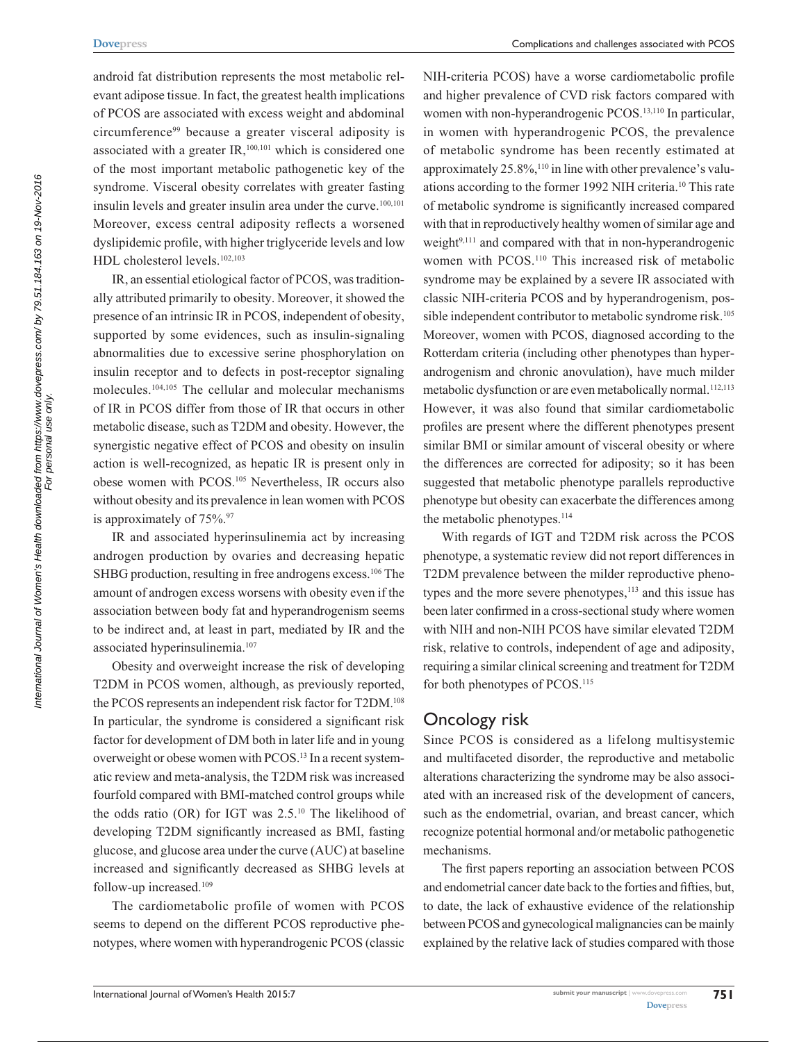android fat distribution represents the most metabolic relevant adipose tissue. In fact, the greatest health implications of PCOS are associated with excess weight and abdominal circumference<sup>99</sup> because a greater visceral adiposity is associated with a greater IR,<sup>100,101</sup> which is considered one of the most important metabolic pathogenetic key of the syndrome. Visceral obesity correlates with greater fasting insulin levels and greater insulin area under the curve.<sup>100,101</sup> Moreover, excess central adiposity reflects a worsened dyslipidemic profile, with higher triglyceride levels and low HDL cholesterol levels.102,103

IR, an essential etiological factor of PCOS, was traditionally attributed primarily to obesity. Moreover, it showed the presence of an intrinsic IR in PCOS, independent of obesity, supported by some evidences, such as insulin-signaling abnormalities due to excessive serine phosphorylation on insulin receptor and to defects in post-receptor signaling molecules.104,105 The cellular and molecular mechanisms of IR in PCOS differ from those of IR that occurs in other metabolic disease, such as T2DM and obesity. However, the synergistic negative effect of PCOS and obesity on insulin action is well-recognized, as hepatic IR is present only in obese women with PCOS.105 Nevertheless, IR occurs also without obesity and its prevalence in lean women with PCOS is approximately of  $75\%$ .<sup>97</sup>

IR and associated hyperinsulinemia act by increasing androgen production by ovaries and decreasing hepatic SHBG production, resulting in free androgens excess.<sup>106</sup> The amount of androgen excess worsens with obesity even if the association between body fat and hyperandrogenism seems to be indirect and, at least in part, mediated by IR and the associated hyperinsulinemia.107

Obesity and overweight increase the risk of developing T2DM in PCOS women, although, as previously reported, the PCOS represents an independent risk factor for T2DM.108 In particular, the syndrome is considered a significant risk factor for development of DM both in later life and in young overweight or obese women with PCOS.<sup>13</sup> In a recent systematic review and meta-analysis, the T2DM risk was increased fourfold compared with BMI-matched control groups while the odds ratio (OR) for IGT was 2.5.10 The likelihood of developing T2DM significantly increased as BMI, fasting glucose, and glucose area under the curve (AUC) at baseline increased and significantly decreased as SHBG levels at follow-up increased.109

The cardiometabolic profile of women with PCOS seems to depend on the different PCOS reproductive phenotypes, where women with hyperandrogenic PCOS (classic NIH-criteria PCOS) have a worse cardiometabolic profile and higher prevalence of CVD risk factors compared with women with non-hyperandrogenic PCOS.<sup>13,110</sup> In particular, in women with hyperandrogenic PCOS, the prevalence of metabolic syndrome has been recently estimated at approximately  $25.8\%,^{110}$  in line with other prevalence's valuations according to the former 1992 NIH criteria.10 This rate of metabolic syndrome is significantly increased compared with that in reproductively healthy women of similar age and weight $9,111$  and compared with that in non-hyperandrogenic women with PCOS.110 This increased risk of metabolic syndrome may be explained by a severe IR associated with classic NIH-criteria PCOS and by hyperandrogenism, possible independent contributor to metabolic syndrome risk.<sup>105</sup> Moreover, women with PCOS, diagnosed according to the Rotterdam criteria (including other phenotypes than hyperandrogenism and chronic anovulation), have much milder metabolic dysfunction or are even metabolically normal.<sup>112,113</sup> However, it was also found that similar cardiometabolic profiles are present where the different phenotypes present similar BMI or similar amount of visceral obesity or where the differences are corrected for adiposity; so it has been suggested that metabolic phenotype parallels reproductive phenotype but obesity can exacerbate the differences among the metabolic phenotypes.<sup>114</sup>

With regards of IGT and T2DM risk across the PCOS phenotype, a systematic review did not report differences in T2DM prevalence between the milder reproductive phenotypes and the more severe phenotypes,<sup>113</sup> and this issue has been later confirmed in a cross-sectional study where women with NIH and non-NIH PCOS have similar elevated T2DM risk, relative to controls, independent of age and adiposity, requiring a similar clinical screening and treatment for T2DM for both phenotypes of PCOS.<sup>115</sup>

#### Oncology risk

Since PCOS is considered as a lifelong multisystemic and multifaceted disorder, the reproductive and metabolic alterations characterizing the syndrome may be also associated with an increased risk of the development of cancers, such as the endometrial, ovarian, and breast cancer, which recognize potential hormonal and/or metabolic pathogenetic mechanisms.

The first papers reporting an association between PCOS and endometrial cancer date back to the forties and fifties, but, to date, the lack of exhaustive evidence of the relationship between PCOS and gynecological malignancies can be mainly explained by the relative lack of studies compared with those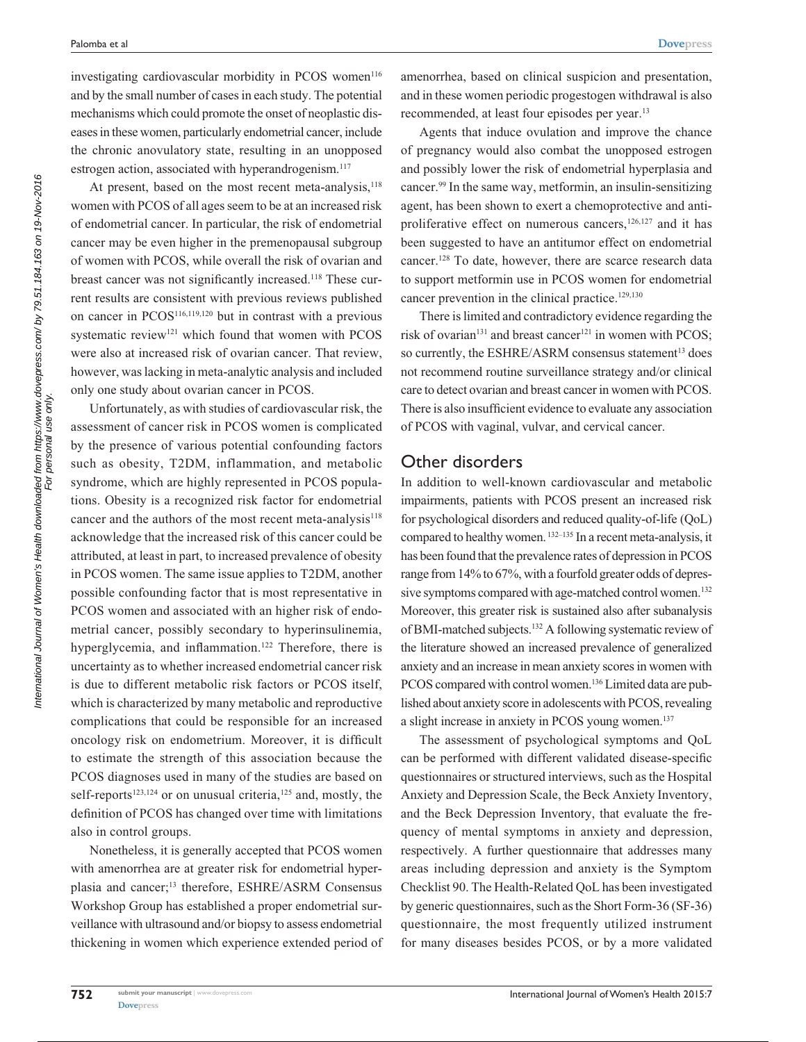**[Dovepress](www.dovepress.com)**

investigating cardiovascular morbidity in PCOS women<sup>116</sup> and by the small number of cases in each study. The potential mechanisms which could promote the onset of neoplastic diseases in these women, particularly endometrial cancer, include the chronic anovulatory state, resulting in an unopposed estrogen action, associated with hyperandrogenism.<sup>117</sup>

At present, based on the most recent meta-analysis, $118$ women with PCOS of all ages seem to be at an increased risk of endometrial cancer. In particular, the risk of endometrial cancer may be even higher in the premenopausal subgroup of women with PCOS, while overall the risk of ovarian and breast cancer was not significantly increased.<sup>118</sup> These current results are consistent with previous reviews published on cancer in PCOS116,119,120 but in contrast with a previous systematic review<sup>121</sup> which found that women with PCOS were also at increased risk of ovarian cancer. That review, however, was lacking in meta-analytic analysis and included only one study about ovarian cancer in PCOS.

Unfortunately, as with studies of cardiovascular risk, the assessment of cancer risk in PCOS women is complicated by the presence of various potential confounding factors such as obesity, T2DM, inflammation, and metabolic syndrome, which are highly represented in PCOS populations. Obesity is a recognized risk factor for endometrial cancer and the authors of the most recent meta-analysis<sup>118</sup> acknowledge that the increased risk of this cancer could be attributed, at least in part, to increased prevalence of obesity in PCOS women. The same issue applies to T2DM, another possible confounding factor that is most representative in PCOS women and associated with an higher risk of endometrial cancer, possibly secondary to hyperinsulinemia, hyperglycemia, and inflammation.<sup>122</sup> Therefore, there is uncertainty as to whether increased endometrial cancer risk is due to different metabolic risk factors or PCOS itself, which is characterized by many metabolic and reproductive complications that could be responsible for an increased oncology risk on endometrium. Moreover, it is difficult to estimate the strength of this association because the PCOS diagnoses used in many of the studies are based on self-reports<sup>123,124</sup> or on unusual criteria,<sup>125</sup> and, mostly, the definition of PCOS has changed over time with limitations also in control groups.

Nonetheless, it is generally accepted that PCOS women with amenorrhea are at greater risk for endometrial hyperplasia and cancer;<sup>13</sup> therefore, ESHRE/ASRM Consensus Workshop Group has established a proper endometrial surveillance with ultrasound and/or biopsy to assess endometrial thickening in women which experience extended period of

amenorrhea, based on clinical suspicion and presentation, and in these women periodic progestogen withdrawal is also recommended, at least four episodes per year.13

Agents that induce ovulation and improve the chance of pregnancy would also combat the unopposed estrogen and possibly lower the risk of endometrial hyperplasia and cancer.99 In the same way, metformin, an insulin-sensitizing agent, has been shown to exert a chemoprotective and antiproliferative effect on numerous cancers, $126,127$  and it has been suggested to have an antitumor effect on endometrial cancer.128 To date, however, there are scarce research data to support metformin use in PCOS women for endometrial cancer prevention in the clinical practice.<sup>129,130</sup>

There is limited and contradictory evidence regarding the risk of ovarian $131$  and breast cancer $121$  in women with PCOS; so currently, the ESHRE/ASRM consensus statement<sup>13</sup> does not recommend routine surveillance strategy and/or clinical care to detect ovarian and breast cancer in women with PCOS. There is also insufficient evidence to evaluate any association of PCOS with vaginal, vulvar, and cervical cancer.

## Other disorders

In addition to well-known cardiovascular and metabolic impairments, patients with PCOS present an increased risk for psychological disorders and reduced quality-of-life (QoL) compared to healthy women. 132–135 In a recent meta-analysis, it has been found that the prevalence rates of depression in PCOS range from 14% to 67%, with a fourfold greater odds of depressive symptoms compared with age-matched control women.<sup>132</sup> Moreover, this greater risk is sustained also after subanalysis of BMI-matched subjects.132 A following systematic review of the literature showed an increased prevalence of generalized anxiety and an increase in mean anxiety scores in women with PCOS compared with control women.<sup>136</sup> Limited data are published about anxiety score in adolescents with PCOS, revealing a slight increase in anxiety in PCOS young women.<sup>137</sup>

The assessment of psychological symptoms and QoL can be performed with different validated disease-specific questionnaires or structured interviews, such as the Hospital Anxiety and Depression Scale, the Beck Anxiety Inventory, and the Beck Depression Inventory, that evaluate the frequency of mental symptoms in anxiety and depression, respectively. A further questionnaire that addresses many areas including depression and anxiety is the Symptom Checklist 90. The Health-Related QoL has been investigated by generic questionnaires, such as the Short Form-36 (SF-36) questionnaire, the most frequently utilized instrument for many diseases besides PCOS, or by a more validated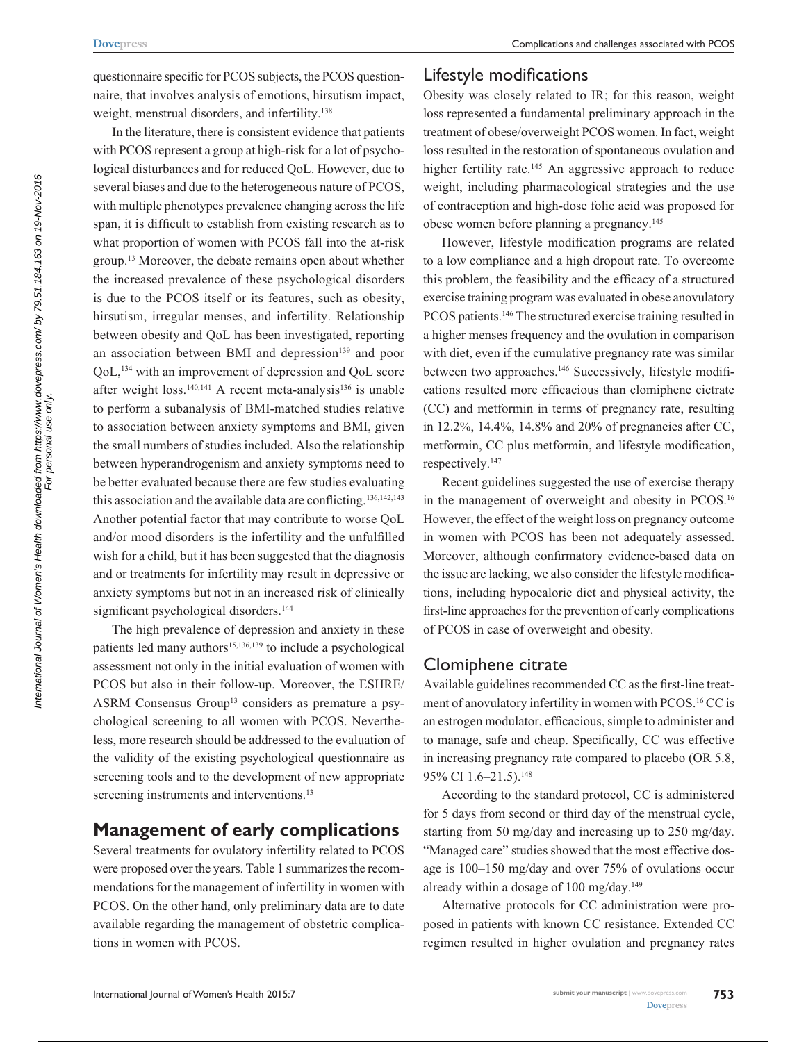questionnaire specific for PCOS subjects, the PCOS questionnaire, that involves analysis of emotions, hirsutism impact, weight, menstrual disorders, and infertility.<sup>138</sup>

In the literature, there is consistent evidence that patients with PCOS represent a group at high-risk for a lot of psychological disturbances and for reduced QoL. However, due to several biases and due to the heterogeneous nature of PCOS, with multiple phenotypes prevalence changing across the life span, it is difficult to establish from existing research as to what proportion of women with PCOS fall into the at-risk group.13 Moreover, the debate remains open about whether the increased prevalence of these psychological disorders is due to the PCOS itself or its features, such as obesity, hirsutism, irregular menses, and infertility. Relationship between obesity and QoL has been investigated, reporting an association between BMI and depression<sup>139</sup> and poor QoL,134 with an improvement of depression and QoL score after weight loss.<sup>140,141</sup> A recent meta-analysis<sup>136</sup> is unable to perform a subanalysis of BMI-matched studies relative to association between anxiety symptoms and BMI, given the small numbers of studies included. Also the relationship between hyperandrogenism and anxiety symptoms need to be better evaluated because there are few studies evaluating this association and the available data are conflicting.<sup>136,142,143</sup> Another potential factor that may contribute to worse QoL and/or mood disorders is the infertility and the unfulfilled wish for a child, but it has been suggested that the diagnosis and or treatments for infertility may result in depressive or anxiety symptoms but not in an increased risk of clinically significant psychological disorders.<sup>144</sup>

The high prevalence of depression and anxiety in these patients led many authors<sup>15,136,139</sup> to include a psychological assessment not only in the initial evaluation of women with PCOS but also in their follow-up. Moreover, the ESHRE/ ASRM Consensus Group<sup>13</sup> considers as premature a psychological screening to all women with PCOS. Nevertheless, more research should be addressed to the evaluation of the validity of the existing psychological questionnaire as screening tools and to the development of new appropriate screening instruments and interventions.<sup>13</sup>

## **Management of early complications**

Several treatments for ovulatory infertility related to PCOS were proposed over the years. Table 1 summarizes the recommendations for the management of infertility in women with PCOS. On the other hand, only preliminary data are to date available regarding the management of obstetric complications in women with PCOS.

## Lifestyle modifications

Obesity was closely related to IR; for this reason, weight loss represented a fundamental preliminary approach in the treatment of obese/overweight PCOS women. In fact, weight loss resulted in the restoration of spontaneous ovulation and higher fertility rate.<sup>145</sup> An aggressive approach to reduce weight, including pharmacological strategies and the use of contraception and high-dose folic acid was proposed for obese women before planning a pregnancy.145

However, lifestyle modification programs are related to a low compliance and a high dropout rate. To overcome this problem, the feasibility and the efficacy of a structured exercise training program was evaluated in obese anovulatory PCOS patients.<sup>146</sup> The structured exercise training resulted in a higher menses frequency and the ovulation in comparison with diet, even if the cumulative pregnancy rate was similar between two approaches.<sup>146</sup> Successively, lifestyle modifications resulted more efficacious than clomiphene cictrate (CC) and metformin in terms of pregnancy rate, resulting in 12.2%, 14.4%, 14.8% and 20% of pregnancies after CC, metformin, CC plus metformin, and lifestyle modification, respectively.147

Recent guidelines suggested the use of exercise therapy in the management of overweight and obesity in PCOS.<sup>16</sup> However, the effect of the weight loss on pregnancy outcome in women with PCOS has been not adequately assessed. Moreover, although confirmatory evidence-based data on the issue are lacking, we also consider the lifestyle modifications, including hypocaloric diet and physical activity, the first-line approaches for the prevention of early complications of PCOS in case of overweight and obesity.

## Clomiphene citrate

Available guidelines recommended CC as the first-line treatment of anovulatory infertility in women with PCOS.16 CC is an estrogen modulator, efficacious, simple to administer and to manage, safe and cheap. Specifically, CC was effective in increasing pregnancy rate compared to placebo (OR 5.8, 95% CI 1.6-21.5).<sup>148</sup>

According to the standard protocol, CC is administered for 5 days from second or third day of the menstrual cycle, starting from 50 mg/day and increasing up to 250 mg/day. "Managed care" studies showed that the most effective dosage is 100–150 mg/day and over 75% of ovulations occur already within a dosage of  $100 \text{ mg/day}$ .<sup>149</sup>

Alternative protocols for CC administration were proposed in patients with known CC resistance. Extended CC regimen resulted in higher ovulation and pregnancy rates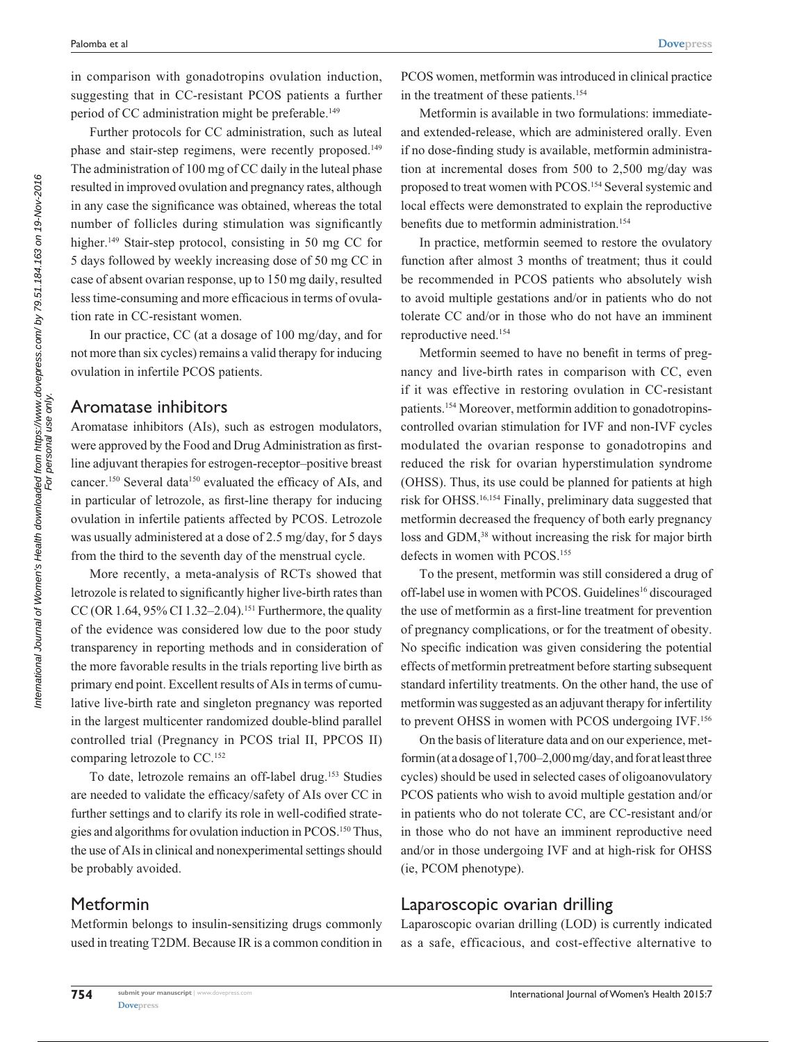**[Dovepress](www.dovepress.com)**

in comparison with gonadotropins ovulation induction, suggesting that in CC-resistant PCOS patients a further period of CC administration might be preferable.<sup>149</sup>

Further protocols for CC administration, such as luteal phase and stair-step regimens, were recently proposed.<sup>149</sup> The administration of 100 mg of CC daily in the luteal phase resulted in improved ovulation and pregnancy rates, although in any case the significance was obtained, whereas the total number of follicles during stimulation was significantly higher.<sup>149</sup> Stair-step protocol, consisting in 50 mg CC for 5 days followed by weekly increasing dose of 50 mg CC in case of absent ovarian response, up to 150 mg daily, resulted less time-consuming and more efficacious in terms of ovulation rate in CC-resistant women.

In our practice, CC (at a dosage of 100 mg/day, and for not more than six cycles) remains a valid therapy for inducing ovulation in infertile PCOS patients.

#### Aromatase inhibitors

Aromatase inhibitors (AIs), such as estrogen modulators, were approved by the Food and Drug Administration as firstline adjuvant therapies for estrogen-receptor–positive breast cancer.150 Several data150 evaluated the efficacy of AIs, and in particular of letrozole, as first-line therapy for inducing ovulation in infertile patients affected by PCOS. Letrozole was usually administered at a dose of 2.5 mg/day, for 5 days from the third to the seventh day of the menstrual cycle.

More recently, a meta-analysis of RCTs showed that letrozole is related to significantly higher live-birth rates than CC (OR 1.64, 95% CI 1.32–2.04).<sup>151</sup> Furthermore, the quality of the evidence was considered low due to the poor study transparency in reporting methods and in consideration of the more favorable results in the trials reporting live birth as primary end point. Excellent results of AIs in terms of cumulative live-birth rate and singleton pregnancy was reported in the largest multicenter randomized double-blind parallel controlled trial (Pregnancy in PCOS trial II, PPCOS II) comparing letrozole to CC.<sup>152</sup>

To date, letrozole remains an off-label drug.153 Studies are needed to validate the efficacy/safety of AIs over CC in further settings and to clarify its role in well-codified strategies and algorithms for ovulation induction in PCOS.150 Thus, the use of AIs in clinical and nonexperimental settings should be probably avoided.

## Metformin

Metformin belongs to insulin-sensitizing drugs commonly used in treating T2DM. Because IR is a common condition in PCOS women, metformin was introduced in clinical practice in the treatment of these patients.154

Metformin is available in two formulations: immediateand extended-release, which are administered orally. Even if no dose-finding study is available, metformin administration at incremental doses from 500 to 2,500 mg/day was proposed to treat women with PCOS.154 Several systemic and local effects were demonstrated to explain the reproductive benefits due to metformin administration.<sup>154</sup>

In practice, metformin seemed to restore the ovulatory function after almost 3 months of treatment; thus it could be recommended in PCOS patients who absolutely wish to avoid multiple gestations and/or in patients who do not tolerate CC and/or in those who do not have an imminent reproductive need.154

Metformin seemed to have no benefit in terms of pregnancy and live-birth rates in comparison with CC, even if it was effective in restoring ovulation in CC-resistant patients.154 Moreover, metformin addition to gonadotropinscontrolled ovarian stimulation for IVF and non-IVF cycles modulated the ovarian response to gonadotropins and reduced the risk for ovarian hyperstimulation syndrome (OHSS). Thus, its use could be planned for patients at high risk for OHSS.16,154 Finally, preliminary data suggested that metformin decreased the frequency of both early pregnancy loss and GDM,<sup>38</sup> without increasing the risk for major birth defects in women with PCOS.<sup>155</sup>

To the present, metformin was still considered a drug of off-label use in women with PCOS. Guidelines<sup>16</sup> discouraged the use of metformin as a first-line treatment for prevention of pregnancy complications, or for the treatment of obesity. No specific indication was given considering the potential effects of metformin pretreatment before starting subsequent standard infertility treatments. On the other hand, the use of metformin was suggested as an adjuvant therapy for infertility to prevent OHSS in women with PCOS undergoing IVF.156

On the basis of literature data and on our experience, metformin (at a dosage of 1,700–2,000 mg/day, and for at least three cycles) should be used in selected cases of oligoanovulatory PCOS patients who wish to avoid multiple gestation and/or in patients who do not tolerate CC, are CC-resistant and/or in those who do not have an imminent reproductive need and/or in those undergoing IVF and at high-risk for OHSS (ie, PCOM phenotype).

## Laparoscopic ovarian drilling

Laparoscopic ovarian drilling (LOD) is currently indicated as a safe, efficacious, and cost-effective alternative to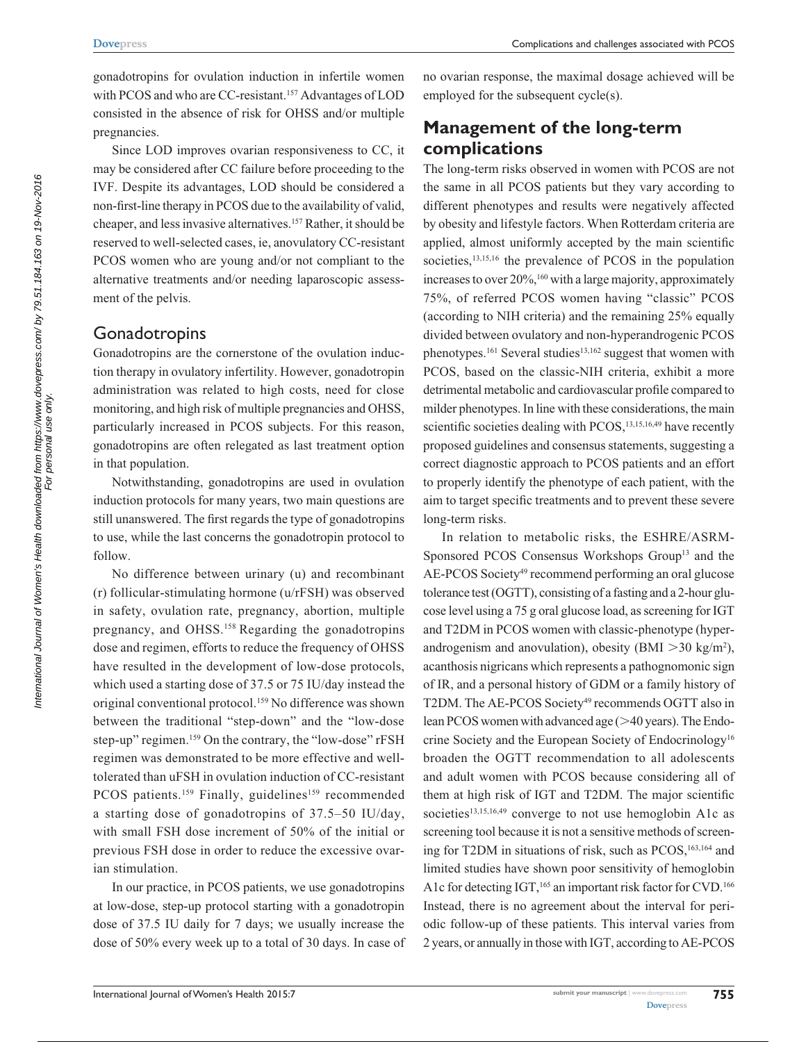gonadotropins for ovulation induction in infertile women with PCOS and who are CC-resistant.<sup>157</sup> Advantages of LOD consisted in the absence of risk for OHSS and/or multiple pregnancies.

Since LOD improves ovarian responsiveness to CC, it may be considered after CC failure before proceeding to the IVF. Despite its advantages, LOD should be considered a non-first-line therapy in PCOS due to the availability of valid, cheaper, and less invasive alternatives.157 Rather, it should be reserved to well-selected cases, ie, anovulatory CC-resistant PCOS women who are young and/or not compliant to the alternative treatments and/or needing laparoscopic assessment of the pelvis.

## Gonadotropins

Gonadotropins are the cornerstone of the ovulation induction therapy in ovulatory infertility. However, gonadotropin administration was related to high costs, need for close monitoring, and high risk of multiple pregnancies and OHSS, particularly increased in PCOS subjects. For this reason, gonadotropins are often relegated as last treatment option in that population.

Notwithstanding, gonadotropins are used in ovulation induction protocols for many years, two main questions are still unanswered. The first regards the type of gonadotropins to use, while the last concerns the gonadotropin protocol to follow.

No difference between urinary (u) and recombinant (r) follicular-stimulating hormone (u/rFSH) was observed in safety, ovulation rate, pregnancy, abortion, multiple pregnancy, and OHSS.158 Regarding the gonadotropins dose and regimen, efforts to reduce the frequency of OHSS have resulted in the development of low-dose protocols, which used a starting dose of 37.5 or 75 IU/day instead the original conventional protocol.<sup>159</sup> No difference was shown between the traditional "step-down" and the "low-dose step-up" regimen.<sup>159</sup> On the contrary, the "low-dose" rFSH regimen was demonstrated to be more effective and welltolerated than uFSH in ovulation induction of CC-resistant PCOS patients.<sup>159</sup> Finally, guidelines<sup>159</sup> recommended a starting dose of gonadotropins of 37.5–50 IU/day, with small FSH dose increment of 50% of the initial or previous FSH dose in order to reduce the excessive ovarian stimulation.

In our practice, in PCOS patients, we use gonadotropins at low-dose, step-up protocol starting with a gonadotropin dose of 37.5 IU daily for 7 days; we usually increase the dose of 50% every week up to a total of 30 days. In case of no ovarian response, the maximal dosage achieved will be employed for the subsequent cycle(s).

# **Management of the long-term complications**

The long-term risks observed in women with PCOS are not the same in all PCOS patients but they vary according to different phenotypes and results were negatively affected by obesity and lifestyle factors. When Rotterdam criteria are applied, almost uniformly accepted by the main scientific societies,<sup>13,15,16</sup> the prevalence of PCOS in the population increases to over  $20\%$ , <sup>160</sup> with a large majority, approximately 75%, of referred PCOS women having "classic" PCOS (according to NIH criteria) and the remaining 25% equally divided between ovulatory and non-hyperandrogenic PCOS phenotypes.<sup>161</sup> Several studies<sup>13,162</sup> suggest that women with PCOS, based on the classic-NIH criteria, exhibit a more detrimental metabolic and cardiovascular profile compared to milder phenotypes. In line with these considerations, the main scientific societies dealing with PCOS,<sup>13,15,16,49</sup> have recently proposed guidelines and consensus statements, suggesting a correct diagnostic approach to PCOS patients and an effort to properly identify the phenotype of each patient, with the aim to target specific treatments and to prevent these severe long-term risks.

In relation to metabolic risks, the ESHRE/ASRM-Sponsored PCOS Consensus Workshops Group<sup>13</sup> and the AE-PCOS Society<sup>49</sup> recommend performing an oral glucose tolerance test (OGTT), consisting of a fasting and a 2-hour glucose level using a 75 g oral glucose load, as screening for IGT and T2DM in PCOS women with classic-phenotype (hyperandrogenism and anovulation), obesity (BMI  $>$  30 kg/m<sup>2</sup>), acanthosis nigricans which represents a pathognomonic sign of IR, and a personal history of GDM or a family history of T2DM. The AE-PCOS Society<sup>49</sup> recommends OGTT also in lean PCOS women with advanced age  $(>= 40$  years). The Endocrine Society and the European Society of Endocrinology16 broaden the OGTT recommendation to all adolescents and adult women with PCOS because considering all of them at high risk of IGT and T2DM. The major scientific societies<sup>13,15,16,49</sup> converge to not use hemoglobin A1c as screening tool because it is not a sensitive methods of screening for T2DM in situations of risk, such as PCOS,<sup>163,164</sup> and limited studies have shown poor sensitivity of hemoglobin A1c for detecting IGT,<sup>165</sup> an important risk factor for CVD.<sup>166</sup> Instead, there is no agreement about the interval for periodic follow-up of these patients. This interval varies from 2 years, or annually in those with IGT, according to AE-PCOS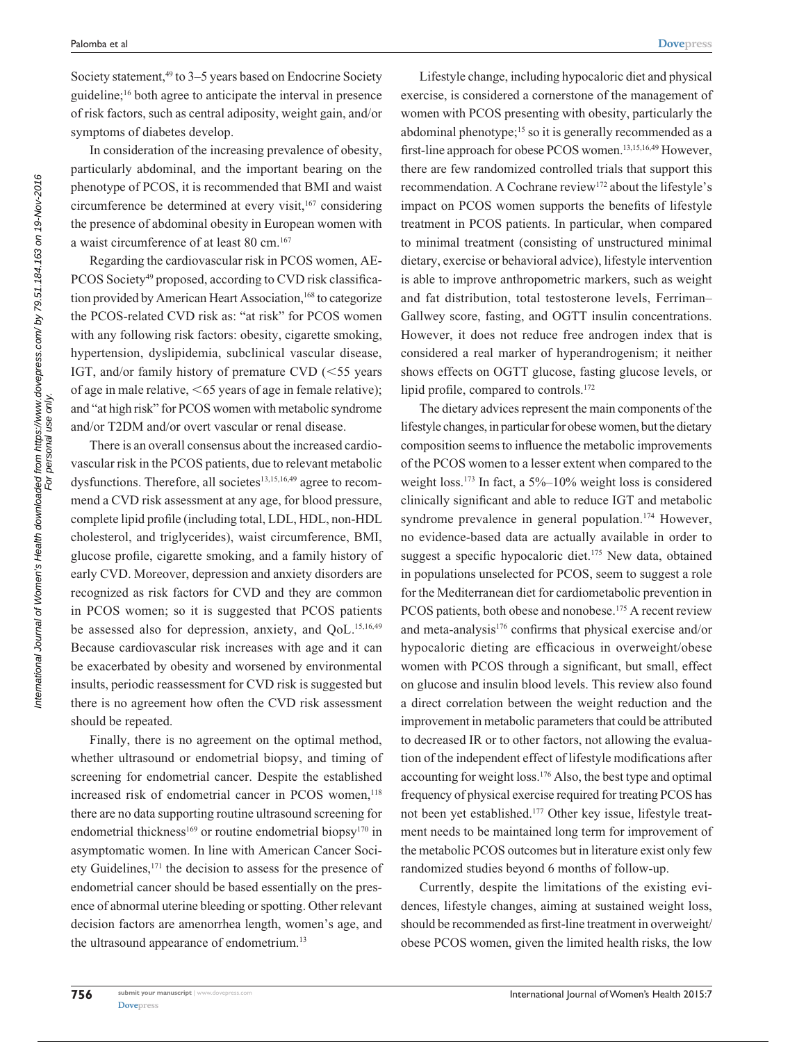Society statement,<sup>49</sup> to 3–5 years based on Endocrine Society guideline;16 both agree to anticipate the interval in presence of risk factors, such as central adiposity, weight gain, and/or symptoms of diabetes develop.

In consideration of the increasing prevalence of obesity, particularly abdominal, and the important bearing on the phenotype of PCOS, it is recommended that BMI and waist circumference be determined at every visit,<sup>167</sup> considering the presence of abdominal obesity in European women with a waist circumference of at least 80 cm.167

Regarding the cardiovascular risk in PCOS women, AE-PCOS Society<sup>49</sup> proposed, according to CVD risk classification provided by American Heart Association,<sup>168</sup> to categorize the PCOS-related CVD risk as: "at risk" for PCOS women with any following risk factors: obesity, cigarette smoking, hypertension, dyslipidemia, subclinical vascular disease, IGT, and/or family history of premature CVD  $(<55$  years of age in male relative,  $<65$  years of age in female relative); and "at high risk" for PCOS women with metabolic syndrome and/or T2DM and/or overt vascular or renal disease.

There is an overall consensus about the increased cardiovascular risk in the PCOS patients, due to relevant metabolic dysfunctions. Therefore, all societes<sup>13,15,16,49</sup> agree to recommend a CVD risk assessment at any age, for blood pressure, complete lipid profile (including total, LDL, HDL, non-HDL cholesterol, and triglycerides), waist circumference, BMI, glucose profile, cigarette smoking, and a family history of early CVD. Moreover, depression and anxiety disorders are recognized as risk factors for CVD and they are common in PCOS women; so it is suggested that PCOS patients be assessed also for depression, anxiety, and QoL.<sup>15,16,49</sup> Because cardiovascular risk increases with age and it can be exacerbated by obesity and worsened by environmental insults, periodic reassessment for CVD risk is suggested but there is no agreement how often the CVD risk assessment should be repeated.

Finally, there is no agreement on the optimal method, whether ultrasound or endometrial biopsy, and timing of screening for endometrial cancer. Despite the established increased risk of endometrial cancer in PCOS women,<sup>118</sup> there are no data supporting routine ultrasound screening for endometrial thickness<sup>169</sup> or routine endometrial biopsy<sup>170</sup> in asymptomatic women. In line with American Cancer Society Guidelines,<sup>171</sup> the decision to assess for the presence of endometrial cancer should be based essentially on the presence of abnormal uterine bleeding or spotting. Other relevant decision factors are amenorrhea length, women's age, and the ultrasound appearance of endometrium.<sup>13</sup>

Lifestyle change, including hypocaloric diet and physical exercise, is considered a cornerstone of the management of women with PCOS presenting with obesity, particularly the abdominal phenotype;15 so it is generally recommended as a first-line approach for obese PCOS women.13,15,16,49 However, there are few randomized controlled trials that support this recommendation. A Cochrane review<sup>172</sup> about the lifestyle's impact on PCOS women supports the benefits of lifestyle treatment in PCOS patients. In particular, when compared to minimal treatment (consisting of unstructured minimal dietary, exercise or behavioral advice), lifestyle intervention is able to improve anthropometric markers, such as weight and fat distribution, total testosterone levels, Ferriman– Gallwey score, fasting, and OGTT insulin concentrations. However, it does not reduce free androgen index that is considered a real marker of hyperandrogenism; it neither shows effects on OGTT glucose, fasting glucose levels, or lipid profile, compared to controls.<sup>172</sup>

The dietary advices represent the main components of the lifestyle changes, in particular for obese women, but the dietary composition seems to influence the metabolic improvements of the PCOS women to a lesser extent when compared to the weight loss.<sup>173</sup> In fact, a 5%–10% weight loss is considered clinically significant and able to reduce IGT and metabolic syndrome prevalence in general population.<sup>174</sup> However, no evidence-based data are actually available in order to suggest a specific hypocaloric diet.<sup>175</sup> New data, obtained in populations unselected for PCOS, seem to suggest a role for the Mediterranean diet for cardiometabolic prevention in PCOS patients, both obese and nonobese.<sup>175</sup> A recent review and meta-analysis176 confirms that physical exercise and/or hypocaloric dieting are efficacious in overweight/obese women with PCOS through a significant, but small, effect on glucose and insulin blood levels. This review also found a direct correlation between the weight reduction and the improvement in metabolic parameters that could be attributed to decreased IR or to other factors, not allowing the evaluation of the independent effect of lifestyle modifications after accounting for weight loss.176 Also, the best type and optimal frequency of physical exercise required for treating PCOS has not been yet established.177 Other key issue, lifestyle treatment needs to be maintained long term for improvement of the metabolic PCOS outcomes but in literature exist only few randomized studies beyond 6 months of follow-up.

Currently, despite the limitations of the existing evidences, lifestyle changes, aiming at sustained weight loss, should be recommended as first-line treatment in overweight/ obese PCOS women, given the limited health risks, the low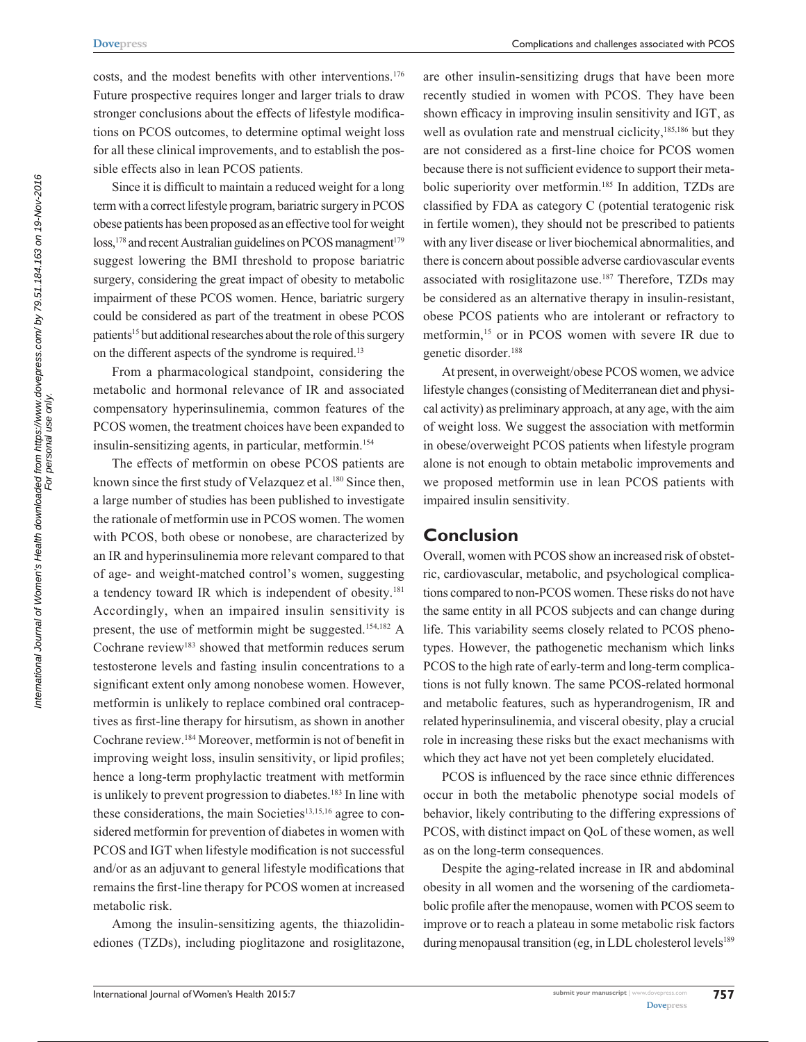costs, and the modest benefits with other interventions.176 Future prospective requires longer and larger trials to draw stronger conclusions about the effects of lifestyle modifications on PCOS outcomes, to determine optimal weight loss for all these clinical improvements, and to establish the possible effects also in lean PCOS patients.

Since it is difficult to maintain a reduced weight for a long term with a correct lifestyle program, bariatric surgery in PCOS obese patients has been proposed as an effective tool for weight  $loss<sub>178</sub>$  and recent Australian guidelines on PCOS managment<sup>179</sup> suggest lowering the BMI threshold to propose bariatric surgery, considering the great impact of obesity to metabolic impairment of these PCOS women. Hence, bariatric surgery could be considered as part of the treatment in obese PCOS patients<sup>15</sup> but additional researches about the role of this surgery on the different aspects of the syndrome is required.<sup>13</sup>

From a pharmacological standpoint, considering the metabolic and hormonal relevance of IR and associated compensatory hyperinsulinemia, common features of the PCOS women, the treatment choices have been expanded to insulin-sensitizing agents, in particular, metformin.<sup>154</sup>

The effects of metformin on obese PCOS patients are known since the first study of Velazquez et al.<sup>180</sup> Since then, a large number of studies has been published to investigate the rationale of metformin use in PCOS women. The women with PCOS, both obese or nonobese, are characterized by an IR and hyperinsulinemia more relevant compared to that of age- and weight-matched control's women, suggesting a tendency toward IR which is independent of obesity.<sup>181</sup> Accordingly, when an impaired insulin sensitivity is present, the use of metformin might be suggested.154,182 A Cochrane review<sup>183</sup> showed that metformin reduces serum testosterone levels and fasting insulin concentrations to a significant extent only among nonobese women. However, metformin is unlikely to replace combined oral contraceptives as first-line therapy for hirsutism, as shown in another Cochrane review.184 Moreover, metformin is not of benefit in improving weight loss, insulin sensitivity, or lipid profiles; hence a long-term prophylactic treatment with metformin is unlikely to prevent progression to diabetes.<sup>183</sup> In line with these considerations, the main Societies<sup>13,15,16</sup> agree to considered metformin for prevention of diabetes in women with PCOS and IGT when lifestyle modification is not successful and/or as an adjuvant to general lifestyle modifications that remains the first-line therapy for PCOS women at increased metabolic risk.

Among the insulin-sensitizing agents, the thiazolidinediones (TZDs), including pioglitazone and rosiglitazone,

are other insulin-sensitizing drugs that have been more recently studied in women with PCOS. They have been shown efficacy in improving insulin sensitivity and IGT, as well as ovulation rate and menstrual ciclicity,<sup>185,186</sup> but they are not considered as a first-line choice for PCOS women because there is not sufficient evidence to support their metabolic superiority over metformin.<sup>185</sup> In addition, TZDs are classified by FDA as category C (potential teratogenic risk in fertile women), they should not be prescribed to patients with any liver disease or liver biochemical abnormalities, and there is concern about possible adverse cardiovascular events associated with rosiglitazone use.187 Therefore, TZDs may be considered as an alternative therapy in insulin-resistant, obese PCOS patients who are intolerant or refractory to metformin,15 or in PCOS women with severe IR due to genetic disorder.188

At present, in overweight/obese PCOS women, we advice lifestyle changes (consisting of Mediterranean diet and physical activity) as preliminary approach, at any age, with the aim of weight loss. We suggest the association with metformin in obese/overweight PCOS patients when lifestyle program alone is not enough to obtain metabolic improvements and we proposed metformin use in lean PCOS patients with impaired insulin sensitivity.

### **Conclusion**

Overall, women with PCOS show an increased risk of obstetric, cardiovascular, metabolic, and psychological complications compared to non-PCOS women. These risks do not have the same entity in all PCOS subjects and can change during life. This variability seems closely related to PCOS phenotypes. However, the pathogenetic mechanism which links PCOS to the high rate of early-term and long-term complications is not fully known. The same PCOS-related hormonal and metabolic features, such as hyperandrogenism, IR and related hyperinsulinemia, and visceral obesity, play a crucial role in increasing these risks but the exact mechanisms with which they act have not yet been completely elucidated.

PCOS is influenced by the race since ethnic differences occur in both the metabolic phenotype social models of behavior, likely contributing to the differing expressions of PCOS, with distinct impact on QoL of these women, as well as on the long-term consequences.

Despite the aging-related increase in IR and abdominal obesity in all women and the worsening of the cardiometabolic profile after the menopause, women with PCOS seem to improve or to reach a plateau in some metabolic risk factors during menopausal transition (eg, in LDL cholesterol levels<sup>189</sup>

For personal use only.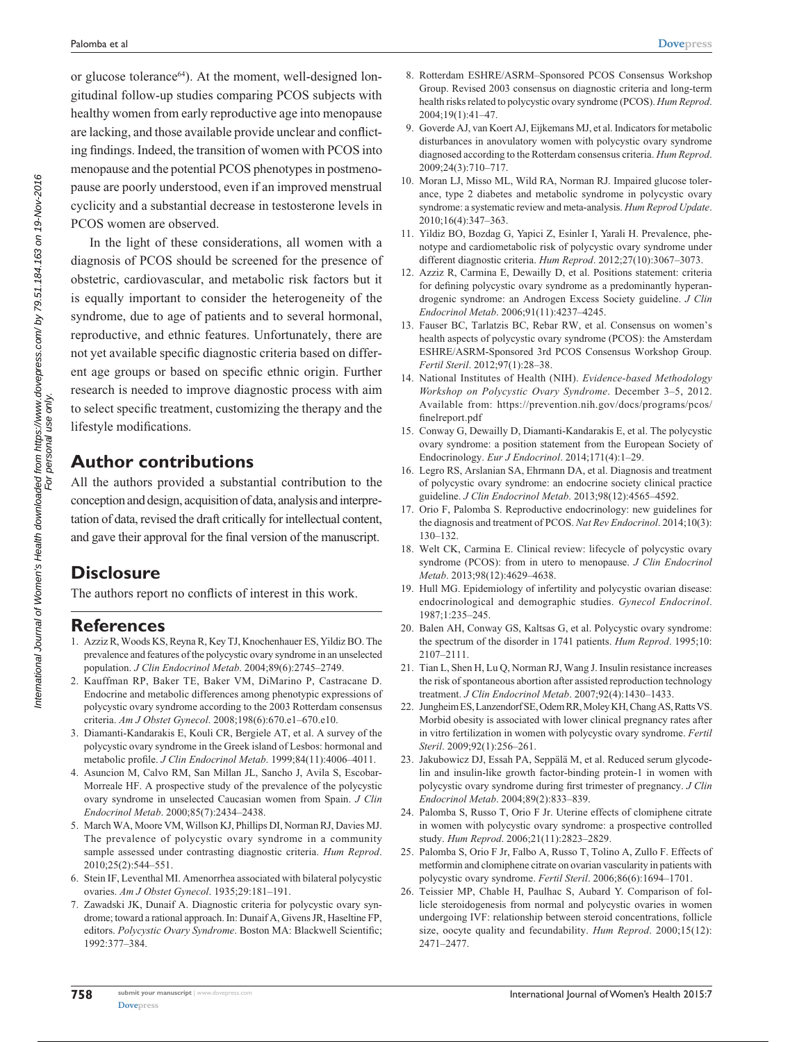or glucose tolerance $64$ ). At the moment, well-designed longitudinal follow-up studies comparing PCOS subjects with healthy women from early reproductive age into menopause are lacking, and those available provide unclear and conflicting findings. Indeed, the transition of women with PCOS into menopause and the potential PCOS phenotypes in postmenopause are poorly understood, even if an improved menstrual cyclicity and a substantial decrease in testosterone levels in PCOS women are observed.

In the light of these considerations, all women with a diagnosis of PCOS should be screened for the presence of obstetric, cardiovascular, and metabolic risk factors but it is equally important to consider the heterogeneity of the syndrome, due to age of patients and to several hormonal, reproductive, and ethnic features. Unfortunately, there are not yet available specific diagnostic criteria based on different age groups or based on specific ethnic origin. Further research is needed to improve diagnostic process with aim to select specific treatment, customizing the therapy and the lifestyle modifications.

## **Author contributions**

All the authors provided a substantial contribution to the conception and design, acquisition of data, analysis and interpretation of data, revised the draft critically for intellectual content, and gave their approval for the final version of the manuscript.

## **Disclosure**

The authors report no conflicts of interest in this work.

#### **References**

- 1. Azziz R, Woods KS, Reyna R, Key TJ, Knochenhauer ES, Yildiz BO. The prevalence and features of the polycystic ovary syndrome in an unselected population. *J Clin Endocrinol Metab*. 2004;89(6):2745–2749.
- 2. Kauffman RP, Baker TE, Baker VM, DiMarino P, Castracane D. Endocrine and metabolic differences among phenotypic expressions of polycystic ovary syndrome according to the 2003 Rotterdam consensus criteria. *Am J Obstet Gynecol*. 2008;198(6):670.e1–670.e10.
- 3. Diamanti-Kandarakis E, Kouli CR, Bergiele AT, et al. A survey of the polycystic ovary syndrome in the Greek island of Lesbos: hormonal and metabolic profile. *J Clin Endocrinol Metab*. 1999;84(11):4006–4011.
- 4. Asuncion M, Calvo RM, San Millan JL, Sancho J, Avila S, Escobar-Morreale HF. A prospective study of the prevalence of the polycystic ovary syndrome in unselected Caucasian women from Spain. *J Clin Endocrinol Metab*. 2000;85(7):2434–2438.
- 5. March WA, Moore VM, Willson KJ, Phillips DI, Norman RJ, Davies MJ. The prevalence of polycystic ovary syndrome in a community sample assessed under contrasting diagnostic criteria. *Hum Reprod*. 2010;25(2):544–551.
- 6. Stein IF, Leventhal MI. Amenorrhea associated with bilateral polycystic ovaries. *Am J Obstet Gynecol*. 1935;29:181–191.
- 7. Zawadski JK, Dunaif A. Diagnostic criteria for polycystic ovary syndrome; toward a rational approach. In: Dunaif A, Givens JR, Haseltine FP, editors. *Polycystic Ovary Syndrome*. Boston MA: Blackwell Scientific; 1992:377–384.
- 8. Rotterdam ESHRE/ASRM–Sponsored PCOS Consensus Workshop Group. Revised 2003 consensus on diagnostic criteria and long-term health risks related to polycystic ovary syndrome (PCOS). *Hum Reprod*. 2004;19(1):41–47.
- 9. Goverde AJ, van Koert AJ, Eijkemans MJ, et al. Indicators for metabolic disturbances in anovulatory women with polycystic ovary syndrome diagnosed according to the Rotterdam consensus criteria. *Hum Reprod*. 2009;24(3):710–717.
- 10. Moran LJ, Misso ML, Wild RA, Norman RJ. Impaired glucose tolerance, type 2 diabetes and metabolic syndrome in polycystic ovary syndrome: a systematic review and meta-analysis. *Hum Reprod Update*. 2010;16(4):347–363.
- 11. Yildiz BO, Bozdag G, Yapici Z, Esinler I, Yarali H. Prevalence, phenotype and cardiometabolic risk of polycystic ovary syndrome under different diagnostic criteria. *Hum Reprod*. 2012;27(10):3067–3073.
- 12. Azziz R, Carmina E, Dewailly D, et al. Positions statement: criteria for defining polycystic ovary syndrome as a predominantly hyperandrogenic syndrome: an Androgen Excess Society guideline. *J Clin Endocrinol Metab*. 2006;91(11):4237–4245.
- 13. Fauser BC, Tarlatzis BC, Rebar RW, et al. Consensus on women's health aspects of polycystic ovary syndrome (PCOS): the Amsterdam ESHRE/ASRM-Sponsored 3rd PCOS Consensus Workshop Group. *Fertil Steril*. 2012;97(1):28–38.
- 14. National Institutes of Health (NIH). *Evidence-based Methodology Workshop on Polycystic Ovary Syndrome*. December 3–5, 2012. Available from: https://prevention.nih.gov/docs/programs/pcos/ finelreport.pdf
- 15. Conway G, Dewailly D, Diamanti-Kandarakis E, et al. The polycystic ovary syndrome: a position statement from the European Society of Endocrinology. *Eur J Endocrinol*. 2014;171(4):1–29.
- 16. Legro RS, Arslanian SA, Ehrmann DA, et al. Diagnosis and treatment of polycystic ovary syndrome: an endocrine society clinical practice guideline. *J Clin Endocrinol Metab*. 2013;98(12):4565–4592.
- 17. Orio F, Palomba S. Reproductive endocrinology: new guidelines for the diagnosis and treatment of PCOS. *Nat Rev Endocrinol*. 2014;10(3): 130–132.
- 18. Welt CK, Carmina E. Clinical review: lifecycle of polycystic ovary syndrome (PCOS): from in utero to menopause. *J Clin Endocrinol Metab*. 2013;98(12):4629–4638.
- 19. Hull MG. Epidemiology of infertility and polycystic ovarian disease: endocrinological and demographic studies. *Gynecol Endocrinol*. 1987;1:235–245.
- 20. Balen AH, Conway GS, Kaltsas G, et al. Polycystic ovary syndrome: the spectrum of the disorder in 1741 patients. *Hum Reprod*. 1995;10: 2107–2111.
- 21. Tian L, Shen H, Lu Q, Norman RJ, Wang J. Insulin resistance increases the risk of spontaneous abortion after assisted reproduction technology treatment. *J Clin Endocrinol Metab*. 2007;92(4):1430–1433.
- 22. Jungheim ES, Lanzendorf SE, Odem RR, Moley KH, Chang AS, Ratts VS. Morbid obesity is associated with lower clinical pregnancy rates after in vitro fertilization in women with polycystic ovary syndrome. *Fertil Steril*. 2009;92(1):256–261.
- 23. Jakubowicz DJ, Essah PA, Seppälä M, et al. Reduced serum glycodelin and insulin-like growth factor-binding protein-1 in women with polycystic ovary syndrome during first trimester of pregnancy. *J Clin Endocrinol Metab*. 2004;89(2):833–839.
- 24. Palomba S, Russo T, Orio F Jr. Uterine effects of clomiphene citrate in women with polycystic ovary syndrome: a prospective controlled study. *Hum Reprod*. 2006;21(11):2823–2829.
- 25. Palomba S, Orio F Jr, Falbo A, Russo T, Tolino A, Zullo F. Effects of metformin and clomiphene citrate on ovarian vascularity in patients with polycystic ovary syndrome. *Fertil Steril*. 2006;86(6):1694–1701.
- 26. Teissier MP, Chable H, Paulhac S, Aubard Y. Comparison of follicle steroidogenesis from normal and polycystic ovaries in women undergoing IVF: relationship between steroid concentrations, follicle size, oocyte quality and fecundability. *Hum Reprod*. 2000;15(12): 2471–2477.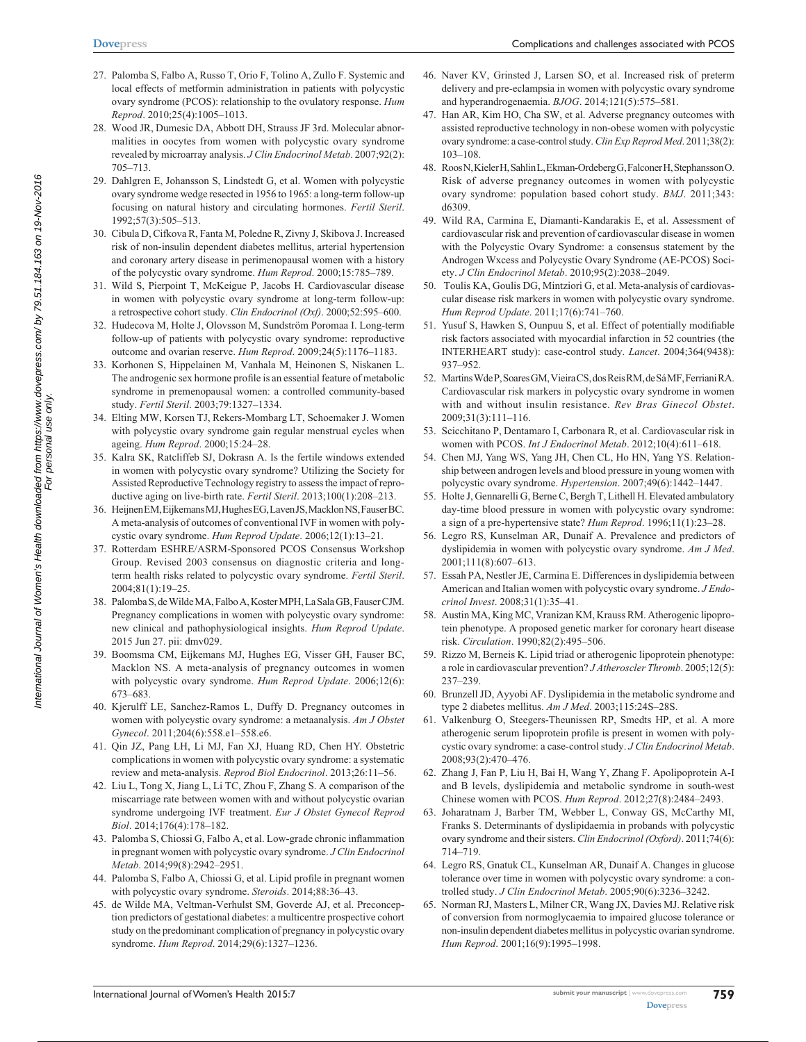- 27. Palomba S, Falbo A, Russo T, Orio F, Tolino A, Zullo F. Systemic and local effects of metformin administration in patients with polycystic ovary syndrome (PCOS): relationship to the ovulatory response. *Hum Reprod*. 2010;25(4):1005–1013.
- 28. Wood JR, Dumesic DA, Abbott DH, Strauss JF 3rd. Molecular abnormalities in oocytes from women with polycystic ovary syndrome revealed by microarray analysis. *J Clin Endocrinol Metab*. 2007;92(2): 705–713.
- 29. Dahlgren E, Johansson S, Lindstedt G, et al. Women with polycystic ovary syndrome wedge resected in 1956 to 1965: a long-term follow-up focusing on natural history and circulating hormones. *Fertil Steril*. 1992;57(3):505–513.
- 30. Cibula D, Cifkova R, Fanta M, Poledne R, Zivny J, Skibova J. Increased risk of non-insulin dependent diabetes mellitus, arterial hypertension and coronary artery disease in perimenopausal women with a history of the polycystic ovary syndrome. *Hum Reprod*. 2000;15:785–789.
- 31. Wild S, Pierpoint T, McKeigue P, Jacobs H. Cardiovascular disease in women with polycystic ovary syndrome at long-term follow-up: a retrospective cohort study. *Clin Endocrinol (Oxf)*. 2000;52:595–600.
- 32. Hudecova M, Holte J, Olovsson M, Sundström Poromaa I. Long-term follow-up of patients with polycystic ovary syndrome: reproductive outcome and ovarian reserve. *Hum Reprod*. 2009;24(5):1176–1183.
- 33. Korhonen S, Hippelainen M, Vanhala M, Heinonen S, Niskanen L. The androgenic sex hormone profile is an essential feature of metabolic syndrome in premenopausal women: a controlled community-based study. *Fertil Steril*. 2003;79:1327–1334.
- 34. Elting MW, Korsen TJ, Rekers-Mombarg LT, Schoemaker J. Women with polycystic ovary syndrome gain regular menstrual cycles when ageing. *Hum Reprod*. 2000;15:24–28.
- 35. Kalra SK, Ratcliffeb SJ, Dokrasn A. Is the fertile windows extended in women with polycystic ovary syndrome? Utilizing the Society for Assisted Reproductive Technology registry to assess the impact of reproductive aging on live-birth rate. *Fertil Steril*. 2013;100(1):208–213.
- 36. Heijnen EM, Eijkemans MJ, Hughes EG, Laven JS, Macklon NS, Fauser BC. A meta-analysis of outcomes of conventional IVF in women with polycystic ovary syndrome. *Hum Reprod Update*. 2006;12(1):13–21.
- 37. Rotterdam ESHRE/ASRM-Sponsored PCOS Consensus Workshop Group. Revised 2003 consensus on diagnostic criteria and longterm health risks related to polycystic ovary syndrome. *Fertil Steril*. 2004;81(1):19–25.
- 38. Palomba S, de Wilde MA, Falbo A, Koster MPH, La Sala GB, Fauser CJM. Pregnancy complications in women with polycystic ovary syndrome: new clinical and pathophysiological insights. *Hum Reprod Update*. 2015 Jun 27. pii: dmv029.
- 39. Boomsma CM, Eijkemans MJ, Hughes EG, Visser GH, Fauser BC, Macklon NS. A meta-analysis of pregnancy outcomes in women with polycystic ovary syndrome. *Hum Reprod Update*. 2006;12(6): 673–683.
- 40. Kjerulff LE, Sanchez-Ramos L, Duffy D. Pregnancy outcomes in women with polycystic ovary syndrome: a metaanalysis. *Am J Obstet Gynecol*. 2011;204(6):558.e1–558.e6.
- 41. Qin JZ, Pang LH, Li MJ, Fan XJ, Huang RD, Chen HY. Obstetric complications in women with polycystic ovary syndrome: a systematic review and meta-analysis. *Reprod Biol Endocrinol*. 2013;26:11–56.
- 42. Liu L, Tong X, Jiang L, Li TC, Zhou F, Zhang S. A comparison of the miscarriage rate between women with and without polycystic ovarian syndrome undergoing IVF treatment. *Eur J Obstet Gynecol Reprod Biol*. 2014;176(4):178–182.
- 43. Palomba S, Chiossi G, Falbo A, et al. Low-grade chronic inflammation in pregnant women with polycystic ovary syndrome. *J Clin Endocrinol Metab*. 2014;99(8):2942–2951.
- 44. Palomba S, Falbo A, Chiossi G, et al. Lipid profile in pregnant women with polycystic ovary syndrome. *Steroids*. 2014;88:36–43.
- 45. de Wilde MA, Veltman-Verhulst SM, Goverde AJ, et al. Preconception predictors of gestational diabetes: a multicentre prospective cohort study on the predominant complication of pregnancy in polycystic ovary syndrome. *Hum Reprod*. 2014;29(6):1327–1236.
- 46. Naver KV, Grinsted J, Larsen SO, et al. Increased risk of preterm delivery and pre-eclampsia in women with polycystic ovary syndrome and hyperandrogenaemia. *BJOG*. 2014;121(5):575–581.
- 47. Han AR, Kim HO, Cha SW, et al. Adverse pregnancy outcomes with assisted reproductive technology in non-obese women with polycystic ovary syndrome: a case-control study. *Clin Exp Reprod Med*. 2011;38(2): 103–108.
- 48. Roos N, Kieler H, Sahlin L, Ekman-Ordeberg G, Falconer H, Stephansson O. Risk of adverse pregnancy outcomes in women with polycystic ovary syndrome: population based cohort study. *BMJ*. 2011;343: d6309.
- 49. Wild RA, Carmina E, Diamanti-Kandarakis E, et al. Assessment of cardiovascular risk and prevention of cardiovascular disease in women with the Polycystic Ovary Syndrome: a consensus statement by the Androgen Wxcess and Polycystic Ovary Syndrome (AE-PCOS) Society. *J Clin Endocrinol Metab*. 2010;95(2):2038–2049.
- 50. Toulis KA, Goulis DG, Mintziori G, et al. Meta-analysis of cardiovascular disease risk markers in women with polycystic ovary syndrome. *Hum Reprod Update*. 2011;17(6):741–760.
- 51. Yusuf S, Hawken S, Ounpuu S, et al. Effect of potentially modifiable risk factors associated with myocardial infarction in 52 countries (the INTERHEART study): case-control study. *Lancet*. 2004;364(9438): 937–952.
- 52. Martins Wde P, Soares GM, Vieira CS, dos Reis RM, de Sá MF, Ferriani RA. Cardiovascular risk markers in polycystic ovary syndrome in women with and without insulin resistance. *Rev Bras Ginecol Obstet*.  $2009.31(3)$ :111–116
- 53. Scicchitano P, Dentamaro I, Carbonara R, et al. Cardiovascular risk in women with PCOS. *Int J Endocrinol Metab*. 2012;10(4):611–618.
- 54. Chen MJ, Yang WS, Yang JH, Chen CL, Ho HN, Yang YS. Relationship between androgen levels and blood pressure in young women with polycystic ovary syndrome. *Hypertension*. 2007;49(6):1442–1447.
- 55. Holte J, Gennarelli G, Berne C, Bergh T, Lithell H. Elevated ambulatory day-time blood pressure in women with polycystic ovary syndrome: a sign of a pre-hypertensive state? *Hum Reprod*. 1996;11(1):23–28.
- 56. Legro RS, Kunselman AR, Dunaif A. Prevalence and predictors of dyslipidemia in women with polycystic ovary syndrome. *Am J Med*. 2001;111(8):607–613.
- 57. Essah PA, Nestler JE, Carmina E. Differences in dyslipidemia between American and Italian women with polycystic ovary syndrome. *J Endocrinol Invest*. 2008;31(1):35–41.
- 58. Austin MA, King MC, Vranizan KM, Krauss RM. Atherogenic lipoprotein phenotype. A proposed genetic marker for coronary heart disease risk. *Circulation*. 1990;82(2):495–506.
- 59. Rizzo M, Berneis K. Lipid triad or atherogenic lipoprotein phenotype: a role in cardiovascular prevention? *J Atheroscler Thromb*. 2005;12(5): 237–239.
- 60. Brunzell JD, Ayyobi AF. Dyslipidemia in the metabolic syndrome and type 2 diabetes mellitus. *Am J Med*. 2003;115:24S–28S.
- 61. Valkenburg O, Steegers-Theunissen RP, Smedts HP, et al. A more atherogenic serum lipoprotein profile is present in women with polycystic ovary syndrome: a case-control study. *J Clin Endocrinol Metab*. 2008;93(2):470–476.
- 62. Zhang J, Fan P, Liu H, Bai H, Wang Y, Zhang F. Apolipoprotein A-I and B levels, dyslipidemia and metabolic syndrome in south-west Chinese women with PCOS. *Hum Reprod*. 2012;27(8):2484–2493.
- 63. Joharatnam J, Barber TM, Webber L, Conway GS, McCarthy MI, Franks S. Determinants of dyslipidaemia in probands with polycystic ovary syndrome and their sisters. *Clin Endocrinol (Oxford)*. 2011;74(6): 714–719.
- 64. Legro RS, Gnatuk CL, Kunselman AR, Dunaif A. Changes in glucose tolerance over time in women with polycystic ovary syndrome: a controlled study. *J Clin Endocrinol Metab*. 2005;90(6):3236–3242.
- 65. Norman RJ, Masters L, Milner CR, Wang JX, Davies MJ. Relative risk of conversion from normoglycaemia to impaired glucose tolerance or non-insulin dependent diabetes mellitus in polycystic ovarian syndrome. *Hum Reprod*. 2001;16(9):1995–1998.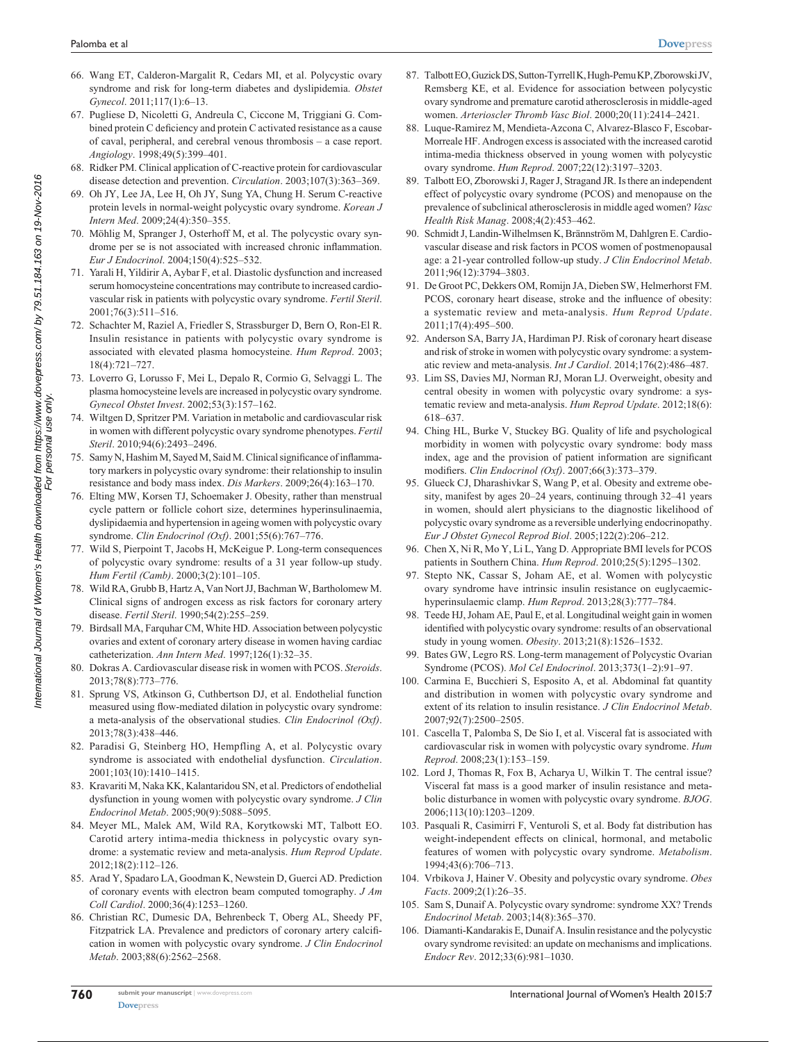- 66. Wang ET, Calderon-Margalit R, Cedars MI, et al. Polycystic ovary syndrome and risk for long-term diabetes and dyslipidemia. *Obstet Gynecol*. 2011;117(1):6–13.
- 67. Pugliese D, Nicoletti G, Andreula C, Ciccone M, Triggiani G. Combined protein C deficiency and protein C activated resistance as a cause of caval, peripheral, and cerebral venous thrombosis – a case report. *Angiology*. 1998;49(5):399–401.
- 68. Ridker PM. Clinical application of C-reactive protein for cardiovascular disease detection and prevention. *Circulation*. 2003;107(3):363–369.
- 69. Oh JY, Lee JA, Lee H, Oh JY, Sung YA, Chung H. Serum C-reactive protein levels in normal-weight polycystic ovary syndrome. *Korean J Intern Med*. 2009;24(4):350–355.
- 70. Möhlig M, Spranger J, Osterhoff M, et al. The polycystic ovary syndrome per se is not associated with increased chronic inflammation. *Eur J Endocrinol*. 2004;150(4):525–532.
- 71. Yarali H, Yildirir A, Aybar F, et al. Diastolic dysfunction and increased serum homocysteine concentrations may contribute to increased cardiovascular risk in patients with polycystic ovary syndrome. *Fertil Steril*. 2001;76(3):511–516.
- 72. Schachter M, Raziel A, Friedler S, Strassburger D, Bern O, Ron-El R. Insulin resistance in patients with polycystic ovary syndrome is associated with elevated plasma homocysteine. *Hum Reprod*. 2003; 18(4):721–727.
- 73. Loverro G, Lorusso F, Mei L, Depalo R, Cormio G, Selvaggi L. The plasma homocysteine levels are increased in polycystic ovary syndrome. *Gynecol Obstet Invest*. 2002;53(3):157–162.
- 74. Wiltgen D, Spritzer PM. Variation in metabolic and cardiovascular risk in women with different polycystic ovary syndrome phenotypes. *Fertil Steril*. 2010;94(6):2493–2496.
- 75. Samy N, Hashim M, Sayed M, Said M. Clinical significance of inflammatory markers in polycystic ovary syndrome: their relationship to insulin resistance and body mass index. *Dis Markers*. 2009;26(4):163–170.
- 76. Elting MW, Korsen TJ, Schoemaker J. Obesity, rather than menstrual cycle pattern or follicle cohort size, determines hyperinsulinaemia, dyslipidaemia and hypertension in ageing women with polycystic ovary syndrome. *Clin Endocrinol (Oxf)*. 2001;55(6):767–776.
- 77. Wild S, Pierpoint T, Jacobs H, McKeigue P. Long-term consequences of polycystic ovary syndrome: results of a 31 year follow-up study. *Hum Fertil (Camb)*. 2000;3(2):101–105.
- 78. Wild RA, Grubb B, Hartz A, Van Nort JJ, Bachman W, Bartholomew M. Clinical signs of androgen excess as risk factors for coronary artery disease. *Fertil Steril*. 1990;54(2):255–259.
- 79. Birdsall MA, Farquhar CM, White HD. Association between polycystic ovaries and extent of coronary artery disease in women having cardiac catheterization. *Ann Intern Med*. 1997;126(1):32–35.
- 80. Dokras A. Cardiovascular disease risk in women with PCOS. *Steroids*. 2013;78(8):773–776.
- 81. Sprung VS, Atkinson G, Cuthbertson DJ, et al. Endothelial function measured using flow-mediated dilation in polycystic ovary syndrome: a meta-analysis of the observational studies. *Clin Endocrinol (Oxf)*. 2013;78(3):438–446.
- 82. Paradisi G, Steinberg HO, Hempfling A, et al. Polycystic ovary syndrome is associated with endothelial dysfunction. *Circulation*. 2001;103(10):1410–1415.
- 83. Kravariti M, Naka KK, Kalantaridou SN, et al. Predictors of endothelial dysfunction in young women with polycystic ovary syndrome. *J Clin Endocrinol Metab*. 2005;90(9):5088–5095.
- 84. Meyer ML, Malek AM, Wild RA, Korytkowski MT, Talbott EO. Carotid artery intima-media thickness in polycystic ovary syndrome: a systematic review and meta-analysis. *Hum Reprod Update*. 2012;18(2):112–126.
- 85. Arad Y, Spadaro LA, Goodman K, Newstein D, Guerci AD. Prediction of coronary events with electron beam computed tomography. *J Am Coll Cardiol*. 2000;36(4):1253–1260.
- 86. Christian RC, Dumesic DA, Behrenbeck T, Oberg AL, Sheedy PF, Fitzpatrick LA. Prevalence and predictors of coronary artery calcification in women with polycystic ovary syndrome. *J Clin Endocrinol Metab*. 2003;88(6):2562–2568.
- 87. Talbott EO, Guzick DS, Sutton-Tyrrell K, Hugh-Pemu KP, Zborowski JV, Remsberg KE, et al. Evidence for association between polycystic ovary syndrome and premature carotid atherosclerosis in middle-aged women. *Arterioscler Thromb Vasc Biol*. 2000;20(11):2414–2421.
- 88. Luque-Ramirez M, Mendieta-Azcona C, Alvarez-Blasco F, Escobar-Morreale HF. Androgen excess is associated with the increased carotid intima-media thickness observed in young women with polycystic ovary syndrome. *Hum Reprod*. 2007;22(12):3197–3203.
- 89. Talbott EO, Zborowski J, Rager J, Stragand JR. Is there an independent effect of polycystic ovary syndrome (PCOS) and menopause on the prevalence of subclinical atherosclerosis in middle aged women? *Vasc Health Risk Manag*. 2008;4(2):453–462.
- 90. Schmidt J, Landin-Wilhelmsen K, Brännström M, Dahlgren E. Cardiovascular disease and risk factors in PCOS women of postmenopausal age: a 21-year controlled follow-up study. *J Clin Endocrinol Metab*. 2011;96(12):3794–3803.
- 91. De Groot PC, Dekkers OM, Romijn JA, Dieben SW, Helmerhorst FM. PCOS, coronary heart disease, stroke and the influence of obesity: a systematic review and meta-analysis. *Hum Reprod Update*. 2011;17(4):495–500.
- 92. Anderson SA, Barry JA, Hardiman PJ. Risk of coronary heart disease and risk of stroke in women with polycystic ovary syndrome: a systematic review and meta-analysis. *Int J Cardiol*. 2014;176(2):486–487.
- 93. Lim SS, Davies MJ, Norman RJ, Moran LJ. Overweight, obesity and central obesity in women with polycystic ovary syndrome: a systematic review and meta-analysis. *Hum Reprod Update*. 2012;18(6): 618–637.
- 94. Ching HL, Burke V, Stuckey BG. Quality of life and psychological morbidity in women with polycystic ovary syndrome: body mass index, age and the provision of patient information are significant modifiers. *Clin Endocrinol (Oxf)*. 2007;66(3):373–379.
- 95. Glueck CJ, Dharashivkar S, Wang P, et al. Obesity and extreme obesity, manifest by ages 20–24 years, continuing through 32–41 years in women, should alert physicians to the diagnostic likelihood of polycystic ovary syndrome as a reversible underlying endocrinopathy. *Eur J Obstet Gynecol Reprod Biol*. 2005;122(2):206–212.
- 96. Chen X, Ni R, Mo Y, Li L, Yang D. Appropriate BMI levels for PCOS patients in Southern China. *Hum Reprod*. 2010;25(5):1295–1302.
- 97. Stepto NK, Cassar S, Joham AE, et al. Women with polycystic ovary syndrome have intrinsic insulin resistance on euglycaemichyperinsulaemic clamp. *Hum Reprod*. 2013;28(3):777–784.
- 98. Teede HJ, Joham AE, Paul E, et al. Longitudinal weight gain in women identified with polycystic ovary syndrome: results of an observational study in young women. *Obesity*. 2013;21(8):1526–1532.
- 99. Bates GW, Legro RS. Long-term management of Polycystic Ovarian Syndrome (PCOS). *Mol Cel Endocrinol*. 2013;373(1–2):91–97.
- 100. Carmina E, Bucchieri S, Esposito A, et al. Abdominal fat quantity and distribution in women with polycystic ovary syndrome and extent of its relation to insulin resistance. *J Clin Endocrinol Metab*. 2007;92(7):2500–2505.
- 101. Cascella T, Palomba S, De Sio I, et al. Visceral fat is associated with cardiovascular risk in women with polycystic ovary syndrome. *Hum Reprod*. 2008;23(1):153–159.
- 102. Lord J, Thomas R, Fox B, Acharya U, Wilkin T. The central issue? Visceral fat mass is a good marker of insulin resistance and metabolic disturbance in women with polycystic ovary syndrome. *BJOG*. 2006;113(10):1203–1209.
- 103. Pasquali R, Casimirri F, Venturoli S, et al. Body fat distribution has weight-independent effects on clinical, hormonal, and metabolic features of women with polycystic ovary syndrome. *Metabolism*. 1994;43(6):706–713.
- 104. Vrbikova J, Hainer V. Obesity and polycystic ovary syndrome. *Obes Facts*. 2009;2(1):26–35.
- 105. Sam S, Dunaif A. Polycystic ovary syndrome: syndrome XX? Trends *Endocrinol Metab*. 2003;14(8):365–370.
- 106. Diamanti-Kandarakis E, Dunaif A. Insulin resistance and the polycystic ovary syndrome revisited: an update on mechanisms and implications. *Endocr Rev*. 2012;33(6):981–1030.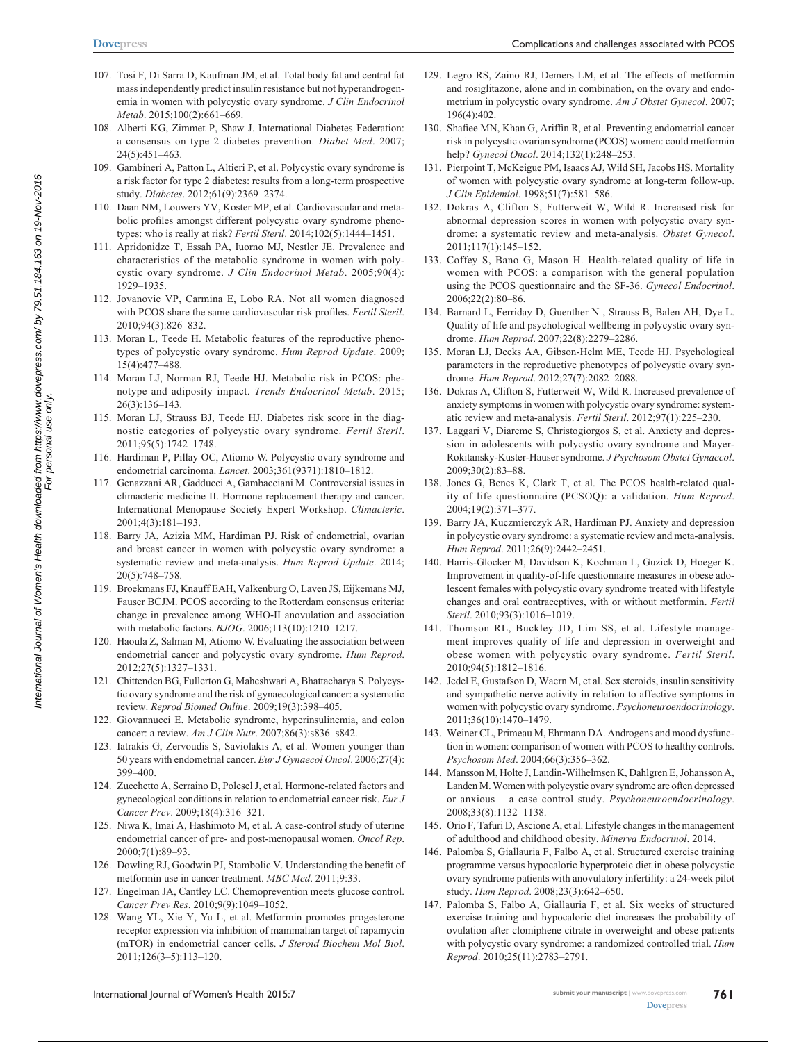- 107. Tosi F, Di Sarra D, Kaufman JM, et al. Total body fat and central fat mass independently predict insulin resistance but not hyperandrogenemia in women with polycystic ovary syndrome. *J Clin Endocrinol Metab*. 2015;100(2):661–669.
- 108. Alberti KG, Zimmet P, Shaw J. International Diabetes Federation: a consensus on type 2 diabetes prevention. *Diabet Med*. 2007; 24(5):451–463.
- 109. Gambineri A, Patton L, Altieri P, et al. Polycystic ovary syndrome is a risk factor for type 2 diabetes: results from a long-term prospective study. *Diabetes*. 2012;61(9):2369–2374.
- 110. Daan NM, Louwers YV, Koster MP, et al. Cardiovascular and metabolic profiles amongst different polycystic ovary syndrome phenotypes: who is really at risk? *Fertil Steril*. 2014;102(5):1444–1451.
- 111. Apridonidze T, Essah PA, Iuorno MJ, Nestler JE. Prevalence and characteristics of the metabolic syndrome in women with polycystic ovary syndrome. *J Clin Endocrinol Metab*. 2005;90(4): 1929–1935.
- 112. Jovanovic VP, Carmina E, Lobo RA. Not all women diagnosed with PCOS share the same cardiovascular risk profiles. *Fertil Steril*. 2010;94(3):826–832.
- 113. Moran L, Teede H. Metabolic features of the reproductive phenotypes of polycystic ovary syndrome. *Hum Reprod Update*. 2009; 15(4):477–488.
- 114. Moran LJ, Norman RJ, Teede HJ. Metabolic risk in PCOS: phenotype and adiposity impact. *Trends Endocrinol Metab*. 2015; 26(3):136–143.
- 115. Moran LJ, Strauss BJ, Teede HJ. Diabetes risk score in the diagnostic categories of polycystic ovary syndrome. *Fertil Steril*. 2011;95(5):1742–1748.
- 116. Hardiman P, Pillay OC, Atiomo W. Polycystic ovary syndrome and endometrial carcinoma. *Lancet*. 2003;361(9371):1810–1812.
- 117. Genazzani AR, Gadducci A, Gambacciani M. Controversial issues in climacteric medicine II. Hormone replacement therapy and cancer. International Menopause Society Expert Workshop. *Climacteric*. 2001;4(3):181–193.
- 118. Barry JA, Azizia MM, Hardiman PJ. Risk of endometrial, ovarian and breast cancer in women with polycystic ovary syndrome: a systematic review and meta-analysis. *Hum Reprod Update*. 2014; 20(5):748–758.
- 119. Broekmans FJ, Knauff EAH, Valkenburg O, Laven JS, Eijkemans MJ, Fauser BCJM. PCOS according to the Rotterdam consensus criteria: change in prevalence among WHO-II anovulation and association with metabolic factors. *BJOG*. 2006;113(10):1210–1217.
- 120. Haoula Z, Salman M, Atiomo W. Evaluating the association between endometrial cancer and polycystic ovary syndrome. *Hum Reprod*. 2012;27(5):1327–1331.
- 121. Chittenden BG, Fullerton G, Maheshwari A, Bhattacharya S. Polycystic ovary syndrome and the risk of gynaecological cancer: a systematic review. *Reprod Biomed Online*. 2009;19(3):398–405.
- 122. Giovannucci E. Metabolic syndrome, hyperinsulinemia, and colon cancer: a review. *Am J Clin Nutr*. 2007;86(3):s836–s842.
- 123. Iatrakis G, Zervoudis S, Saviolakis A, et al. Women younger than 50 years with endometrial cancer. *Eur J Gynaecol Oncol*. 2006;27(4): 399–400.
- 124. Zucchetto A, Serraino D, Polesel J, et al. Hormone-related factors and gynecological conditions in relation to endometrial cancer risk. *Eur J Cancer Prev*. 2009;18(4):316–321.
- 125. Niwa K, Imai A, Hashimoto M, et al. A case-control study of uterine endometrial cancer of pre- and post-menopausal women. *Oncol Rep*. 2000;7(1):89–93.
- 126. Dowling RJ, Goodwin PJ, Stambolic V. Understanding the benefit of metformin use in cancer treatment. *MBC Med*. 2011;9:33.
- 127. Engelman JA, Cantley LC. Chemoprevention meets glucose control. *Cancer Prev Res*. 2010;9(9):1049–1052.
- 128. Wang YL, Xie Y, Yu L, et al. Metformin promotes progesterone receptor expression via inhibition of mammalian target of rapamycin (mTOR) in endometrial cancer cells. *J Steroid Biochem Mol Biol*. 2011;126(3–5):113–120.
- 129. Legro RS, Zaino RJ, Demers LM, et al. The effects of metformin and rosiglitazone, alone and in combination, on the ovary and endometrium in polycystic ovary syndrome. *Am J Obstet Gynecol*. 2007; 196(4):402.
- 130. Shafiee MN, Khan G, Ariffin R, et al. Preventing endometrial cancer risk in polycystic ovarian syndrome (PCOS) women: could metformin help? *Gynecol Oncol*. 2014;132(1):248–253.
- 131. Pierpoint T, McKeigue PM, Isaacs AJ, Wild SH, Jacobs HS. Mortality of women with polycystic ovary syndrome at long-term follow-up. *J Clin Epidemiol*. 1998;51(7):581–586.
- 132. Dokras A, Clifton S, Futterweit W, Wild R. Increased risk for abnormal depression scores in women with polycystic ovary syndrome: a systematic review and meta-analysis. *Obstet Gynecol*. 2011;117(1):145–152.
- 133. Coffey S, Bano G, Mason H. Health-related quality of life in women with PCOS: a comparison with the general population using the PCOS questionnaire and the SF-36. *Gynecol Endocrinol*. 2006;22(2):80–86.
- 134. Barnard L, Ferriday D, Guenther N , Strauss B, Balen AH, Dye L. Quality of life and psychological wellbeing in polycystic ovary syndrome. *Hum Reprod*. 2007;22(8):2279–2286.
- 135. Moran LJ, Deeks AA, Gibson-Helm ME, Teede HJ. Psychological parameters in the reproductive phenotypes of polycystic ovary syndrome. *Hum Reprod*. 2012;27(7):2082–2088.
- 136. Dokras A, Clifton S, Futterweit W, Wild R. Increased prevalence of anxiety symptoms in women with polycystic ovary syndrome: systematic review and meta-analysis. *Fertil Steril*. 2012;97(1):225–230.
- 137. Laggari V, Diareme S, Christogiorgos S, et al. Anxiety and depression in adolescents with polycystic ovary syndrome and Mayer-Rokitansky-Kuster-Hauser syndrome. *J Psychosom Obstet Gynaecol*. 2009;30(2):83–88.
- 138. Jones G, Benes K, Clark T, et al. The PCOS health-related quality of life questionnaire (PCSOQ): a validation. *Hum Reprod*. 2004;19(2):371–377.
- 139. Barry JA, Kuczmierczyk AR, Hardiman PJ. Anxiety and depression in polycystic ovary syndrome: a systematic review and meta-analysis. *Hum Reprod*. 2011;26(9):2442–2451.
- 140. Harris-Glocker M, Davidson K, Kochman L, Guzick D, Hoeger K. Improvement in quality-of-life questionnaire measures in obese adolescent females with polycystic ovary syndrome treated with lifestyle changes and oral contraceptives, with or without metformin. *Fertil Steril*. 2010;93(3):1016–1019.
- 141. Thomson RL, Buckley JD, Lim SS, et al. Lifestyle management improves quality of life and depression in overweight and obese women with polycystic ovary syndrome. *Fertil Steril*. 2010;94(5):1812–1816.
- 142. Jedel E, Gustafson D, Waern M, et al. Sex steroids, insulin sensitivity and sympathetic nerve activity in relation to affective symptoms in women with polycystic ovary syndrome. *Psychoneuroendocrinology*. 2011;36(10):1470–1479.
- 143. Weiner CL, Primeau M, Ehrmann DA. Androgens and mood dysfunction in women: comparison of women with PCOS to healthy controls. *Psychosom Med*. 2004;66(3):356–362.
- 144. Mansson M, Holte J, Landin-Wilhelmsen K, Dahlgren E, Johansson A, Landen M. Women with polycystic ovary syndrome are often depressed or anxious – a case control study. *Psychoneuroendocrinology*. 2008;33(8):1132–1138.
- 145. Orio F, Tafuri D, Ascione A, et al. Lifestyle changes in the management of adulthood and childhood obesity. *Minerva Endocrinol*. 2014.
- 146. Palomba S, Giallauria F, Falbo A, et al. Structured exercise training programme versus hypocaloric hyperproteic diet in obese polycystic ovary syndrome patients with anovulatory infertility: a 24-week pilot study. *Hum Reprod*. 2008;23(3):642–650.
- 147. Palomba S, Falbo A, Giallauria F, et al. Six weeks of structured exercise training and hypocaloric diet increases the probability of ovulation after clomiphene citrate in overweight and obese patients with polycystic ovary syndrome: a randomized controlled trial. *Hum Reprod*. 2010;25(11):2783–2791.

**761**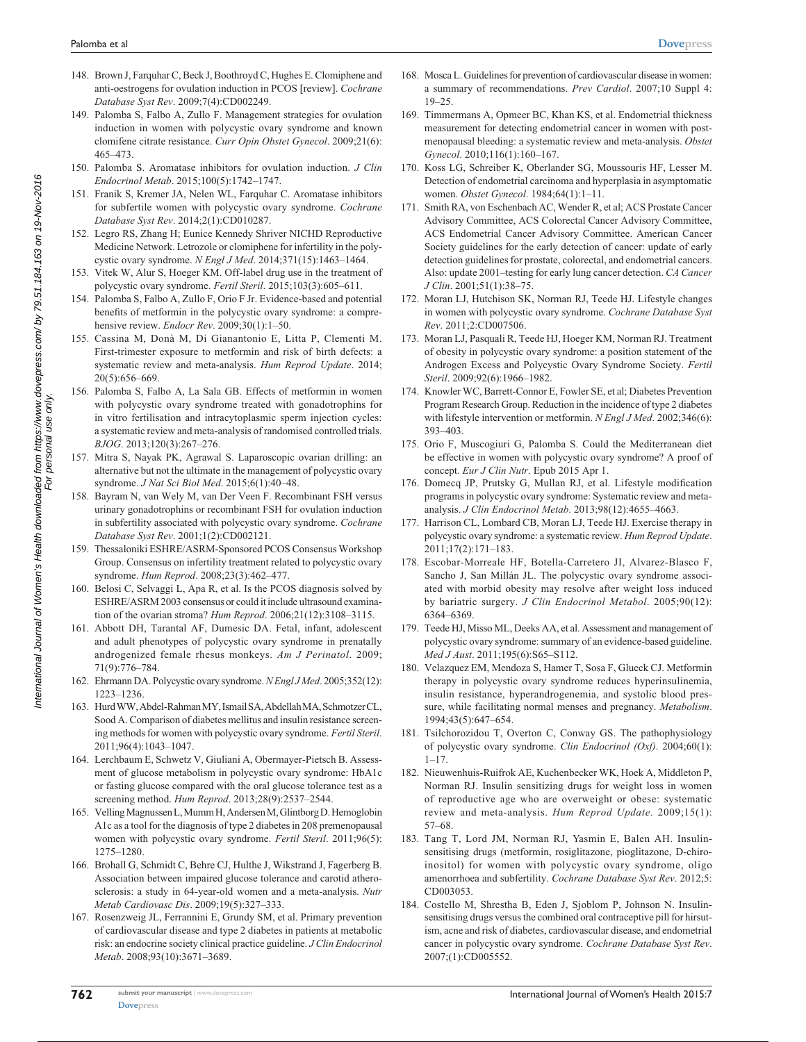- 148. Brown J, Farquhar C, Beck J, Boothroyd C, Hughes E. Clomiphene and anti-oestrogens for ovulation induction in PCOS [review]. *Cochrane Database Syst Rev*. 2009;7(4):CD002249.
- 149. Palomba S, Falbo A, Zullo F. Management strategies for ovulation induction in women with polycystic ovary syndrome and known clomifene citrate resistance. *Curr Opin Obstet Gynecol*. 2009;21(6): 465–473.
- 150. Palomba S. Aromatase inhibitors for ovulation induction. *J Clin Endocrinol Metab*. 2015;100(5):1742–1747.
- 151. Franik S, Kremer JA, Nelen WL, Farquhar C. Aromatase inhibitors for subfertile women with polycystic ovary syndrome. *Cochrane Database Syst Rev*. 2014;2(1):CD010287.
- 152. Legro RS, Zhang H; Eunice Kennedy Shriver NICHD Reproductive Medicine Network. Letrozole or clomiphene for infertility in the polycystic ovary syndrome. *N Engl J Med*. 2014;371(15):1463–1464.
- 153. Vitek W, Alur S, Hoeger KM. Off-label drug use in the treatment of polycystic ovary syndrome. *Fertil Steril*. 2015;103(3):605–611.
- 154. Palomba S, Falbo A, Zullo F, Orio F Jr. Evidence-based and potential benefits of metformin in the polycystic ovary syndrome: a comprehensive review. *Endocr Rev*. 2009;30(1):1–50.
- 155. Cassina M, Donà M, Di Gianantonio E, Litta P, Clementi M. First-trimester exposure to metformin and risk of birth defects: a systematic review and meta-analysis. *Hum Reprod Update*. 2014; 20(5):656–669.
- 156. Palomba S, Falbo A, La Sala GB. Effects of metformin in women with polycystic ovary syndrome treated with gonadotrophins for in vitro fertilisation and intracytoplasmic sperm injection cycles: a systematic review and meta-analysis of randomised controlled trials. *BJOG*. 2013;120(3):267–276.
- 157. Mitra S, Nayak PK, Agrawal S. Laparoscopic ovarian drilling: an alternative but not the ultimate in the management of polycystic ovary syndrome. *J Nat Sci Biol Med*. 2015;6(1):40–48.
- 158. Bayram N, van Wely M, van Der Veen F. Recombinant FSH versus urinary gonadotrophins or recombinant FSH for ovulation induction in subfertility associated with polycystic ovary syndrome. *Cochrane Database Syst Rev*. 2001;1(2):CD002121.
- 159. Thessaloniki ESHRE/ASRM-Sponsored PCOS Consensus Workshop Group. Consensus on infertility treatment related to polycystic ovary syndrome. *Hum Reprod*. 2008;23(3):462–477.
- 160. Belosi C, Selvaggi L, Apa R, et al. Is the PCOS diagnosis solved by ESHRE/ASRM 2003 consensus or could it include ultrasound examination of the ovarian stroma? *Hum Reprod*. 2006;21(12):3108–3115.
- 161. Abbott DH, Tarantal AF, Dumesic DA. Fetal, infant, adolescent and adult phenotypes of polycystic ovary syndrome in prenatally androgenized female rhesus monkeys. *Am J Perinatol*. 2009; 71(9):776–784.
- 162. Ehrmann DA. Polycystic ovary syndrome. *N Engl J Med*. 2005;352(12): 1223–1236.
- 163. Hurd WW, Abdel-Rahman MY, Ismail SA, Abdellah MA, Schmotzer CL, Sood A. Comparison of diabetes mellitus and insulin resistance screening methods for women with polycystic ovary syndrome. *Fertil Steril*. 2011;96(4):1043–1047.
- 164. Lerchbaum E, Schwetz V, Giuliani A, Obermayer-Pietsch B. Assessment of glucose metabolism in polycystic ovary syndrome: HbA1c or fasting glucose compared with the oral glucose tolerance test as a screening method. *Hum Reprod*. 2013;28(9):2537–2544.
- 165. Velling Magnussen L, Mumm H, Andersen M, Glintborg D. Hemoglobin A1c as a tool for the diagnosis of type 2 diabetes in 208 premenopausal women with polycystic ovary syndrome. *Fertil Steril*. 2011;96(5): 1275–1280.
- 166. Brohall G, Schmidt C, Behre CJ, Hulthe J, Wikstrand J, Fagerberg B. Association between impaired glucose tolerance and carotid atherosclerosis: a study in 64-year-old women and a meta-analysis. *Nutr Metab Cardiovasc Dis*. 2009;19(5):327–333.
- 167. Rosenzweig JL, Ferrannini E, Grundy SM, et al. Primary prevention of cardiovascular disease and type 2 diabetes in patients at metabolic risk: an endocrine society clinical practice guideline. *J Clin Endocrinol Metab*. 2008;93(10):3671–3689.
- 168. Mosca L. Guidelines for prevention of cardiovascular disease in women: a summary of recommendations. *Prev Cardiol*. 2007;10 Suppl 4: 19–25.
- 169. Timmermans A, Opmeer BC, Khan KS, et al. Endometrial thickness measurement for detecting endometrial cancer in women with postmenopausal bleeding: a systematic review and meta-analysis. *Obstet Gynecol*. 2010;116(1):160–167.
- 170. Koss LG, Schreiber K, Oberlander SG, Moussouris HF, Lesser M. Detection of endometrial carcinoma and hyperplasia in asymptomatic women. *Obstet Gynecol*. 1984;64(1):1–11.
- 171. Smith RA, von Eschenbach AC, Wender R, et al; ACS Prostate Cancer Advisory Committee, ACS Colorectal Cancer Advisory Committee, ACS Endometrial Cancer Advisory Committee. American Cancer Society guidelines for the early detection of cancer: update of early detection guidelines for prostate, colorectal, and endometrial cancers. Also: update 2001–testing for early lung cancer detection. *CA Cancer J Clin*. 2001;51(1):38–75.
- 172. Moran LJ, Hutchison SK, Norman RJ, Teede HJ. Lifestyle changes in women with polycystic ovary syndrome. *Cochrane Database Syst Rev*. 2011;2:CD007506.
- 173. Moran LJ, Pasquali R, Teede HJ, Hoeger KM, Norman RJ. Treatment of obesity in polycystic ovary syndrome: a position statement of the Androgen Excess and Polycystic Ovary Syndrome Society. *Fertil Steril*. 2009;92(6):1966–1982.
- 174. Knowler WC, Barrett-Connor E, Fowler SE, et al; Diabetes Prevention Program Research Group. Reduction in the incidence of type 2 diabetes with lifestyle intervention or metformin. *N Engl J Med*. 2002;346(6): 393–403.
- 175. Orio F, Muscogiuri G, Palomba S. Could the Mediterranean diet be effective in women with polycystic ovary syndrome? A proof of concept. *Eur J Clin Nutr*. Epub 2015 Apr 1.
- 176. Domecq JP, Prutsky G, Mullan RJ, et al. Lifestyle modification programs in polycystic ovary syndrome: Systematic review and metaanalysis. *J Clin Endocrinol Metab*. 2013;98(12):4655–4663.
- 177. Harrison CL, Lombard CB, Moran LJ, Teede HJ. Exercise therapy in polycystic ovary syndrome: a systematic review. *Hum Reprod Update*. 2011;17(2):171–183.
- 178. Escobar-Morreale HF, Botella-Carretero JI, Alvarez-Blasco F, Sancho J, San Millán JL. The polycystic ovary syndrome associated with morbid obesity may resolve after weight loss induced by bariatric surgery. *J Clin Endocrinol Metabol*. 2005;90(12): 6364–6369.
- 179. Teede HJ, Misso ML, Deeks AA, et al. Assessment and management of polycystic ovary syndrome: summary of an evidence-based guideline. *Med J Aust*. 2011;195(6):S65–S112.
- 180. Velazquez EM, Mendoza S, Hamer T, Sosa F, Glueck CJ. Metformin therapy in polycystic ovary syndrome reduces hyperinsulinemia, insulin resistance, hyperandrogenemia, and systolic blood pressure, while facilitating normal menses and pregnancy. *Metabolism*. 1994;43(5):647–654.
- 181. Tsilchorozidou T, Overton C, Conway GS. The pathophysiology of polycystic ovary syndrome. *Clin Endocrinol (Oxf)*. 2004;60(1):  $1 - 17$ .
- 182. Nieuwenhuis-Ruifrok AE, Kuchenbecker WK, Hoek A, Middleton P, Norman RJ. Insulin sensitizing drugs for weight loss in women of reproductive age who are overweight or obese: systematic review and meta-analysis. *Hum Reprod Update*. 2009;15(1): 57–68.
- 183. Tang T, Lord JM, Norman RJ, Yasmin E, Balen AH. Insulinsensitising drugs (metformin, rosiglitazone, pioglitazone, D-chiroinositol) for women with polycystic ovary syndrome, oligo amenorrhoea and subfertility. *Cochrane Database Syst Rev*. 2012;5: CD003053.
- 184. Costello M, Shrestha B, Eden J, Sjoblom P, Johnson N. Insulinsensitising drugs versus the combined oral contraceptive pill for hirsutism, acne and risk of diabetes, cardiovascular disease, and endometrial cancer in polycystic ovary syndrome. *Cochrane Database Syst Rev*. 2007;(1):CD005552.